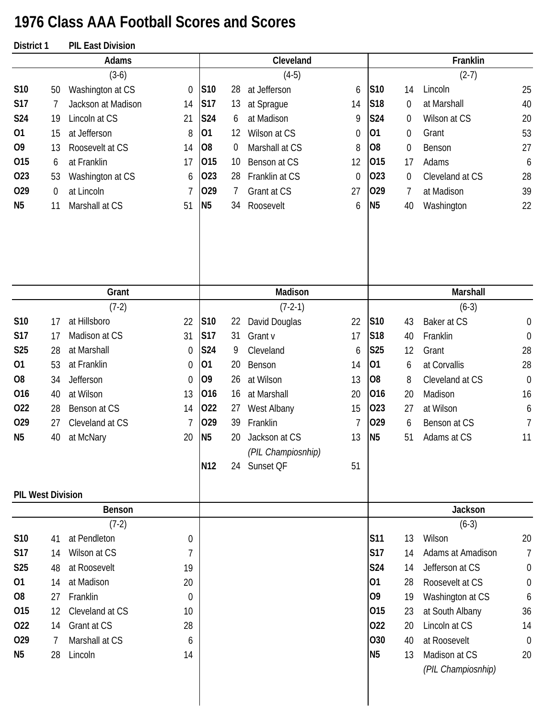## **1976 Class AAA Football Scores and Scores**

| District 1               |                  | <b>PIL East Division</b> |             |                 |    |                    |          |                 |                  |                                     |                  |
|--------------------------|------------------|--------------------------|-------------|-----------------|----|--------------------|----------|-----------------|------------------|-------------------------------------|------------------|
|                          |                  | Adams                    |             |                 |    | Cleveland          |          |                 |                  | Franklin                            |                  |
|                          |                  | $(3-6)$                  |             |                 |    | $(4-5)$            |          |                 |                  | $(2-7)$                             |                  |
| S10                      | 50               | Washington at CS         | $\theta$    | S10             | 28 | at Jefferson       | 6        | S10             | 14               | Lincoln                             | 25               |
| <b>S17</b>               | 7                | Jackson at Madison       | 14          | <b>S17</b>      | 13 | at Sprague         | 14       | <b>S18</b>      | $\overline{0}$   | at Marshall                         | 40               |
| S24                      | 19               | Lincoln at CS            | 21          | S24             | 6  | at Madison         | 9        | <b>S24</b>      | 0                | Wilson at CS                        | 20               |
| 01                       | 15               | at Jefferson             | 8           | 01              | 12 | Wilson at CS       | $\theta$ | 01              | $\mathbf 0$      | Grant                               | 53               |
| O <sub>9</sub>           | 13               | Roosevelt at CS          | 14          | O <sub>8</sub>  | 0  | Marshall at CS     | 8        | O <sub>8</sub>  | $\boldsymbol{0}$ | Benson                              | 27               |
| 015                      | 6                | at Franklin              | 17          | 015             | 10 | Benson at CS       | 12       | 015             | 17               | Adams                               | 6                |
| 023                      | 53               | Washington at CS         | 6           | 023             | 28 | Franklin at CS     | $\theta$ | 023             | 0                | Cleveland at CS                     | 28               |
| 029                      | $\boldsymbol{0}$ | at Lincoln               | 7           | 029             | 7  | Grant at CS        | 27       | 029             | 7                | at Madison                          | 39               |
| N <sub>5</sub>           | 11               | Marshall at CS           | 51          | N <sub>5</sub>  | 34 | Roosevelt          | 6        | N <sub>5</sub>  | 40               | Washington                          | 22               |
|                          |                  |                          |             |                 |    |                    |          |                 |                  |                                     |                  |
|                          |                  | Grant                    |             |                 |    | Madison            |          |                 |                  | Marshall                            |                  |
|                          |                  | $(7-2)$                  |             |                 |    | $(7-2-1)$          |          |                 |                  | $(6-3)$                             |                  |
| S10                      | 17               | at Hillsboro             | 22          | S10             | 22 | David Douglas      | 22       | S10             | 43               | Baker at CS                         | $\boldsymbol{0}$ |
| <b>S17</b>               | 17               | Madison at CS            | 31          | <b>S17</b>      | 31 | Grant v            | 17       | S <sub>18</sub> | 40               | Franklin                            | $\boldsymbol{0}$ |
| S25                      | 28               | at Marshall              | 0           | S24             | 9  | Cleveland          | 6        | S <sub>25</sub> | 12               | Grant                               | 28               |
| 01                       | 53               | at Franklin              | $\mathbf 0$ | 01              | 20 | Benson             | 14       | 01              | 6                | at Corvallis                        | 28               |
| O <sub>8</sub>           | 34               | Jefferson                | 0           | O <sub>9</sub>  | 26 | at Wilson          | 13       | O <sub>8</sub>  | 8                | Cleveland at CS                     | $\mathbf 0$      |
| 016                      | 40               | at Wilson                | 13          | 016             | 16 | at Marshall        | 20       | 016             | 20               | Madison                             | 16               |
| 022                      | 28               | Benson at CS             | 14          | 022             | 27 | West Albany        | 15       | 023             | 27               | at Wilson                           | 6                |
| 029                      | 27               | Cleveland at CS          | 7           | 029             | 39 | Franklin           | 7        | 029             | 6                | Benson at CS                        | 7                |
| N <sub>5</sub>           | 40               | at McNary                | 20          | N <sub>5</sub>  | 20 | Jackson at CS      | 13       | N <sub>5</sub>  | 51               | Adams at CS                         | 11               |
|                          |                  |                          |             |                 |    | (PIL Champiosnhip) |          |                 |                  |                                     |                  |
|                          |                  |                          |             | N <sub>12</sub> |    | 24 Sunset QF       | 51       |                 |                  |                                     |                  |
| <b>PIL West Division</b> |                  |                          |             |                 |    |                    |          |                 |                  |                                     |                  |
|                          |                  | Benson                   |             |                 |    |                    |          |                 |                  | Jackson                             |                  |
|                          |                  | $(7-2)$                  |             |                 |    |                    |          |                 |                  | $(6-3)$                             |                  |
| S10                      | 41               | at Pendleton             | 0           |                 |    |                    |          | <b>S11</b>      | 13               | Wilson                              | 20               |
| <b>S17</b>               | 14               | Wilson at CS             | 7           |                 |    |                    |          | <b>S17</b>      | 14               | Adams at Amadison                   | 7                |
| <b>S25</b>               | 48               | at Roosevelt             | 19          |                 |    |                    |          | S24             | 14               | Jefferson at CS                     | $\boldsymbol{0}$ |
| 01                       | 14               | at Madison               | 20          |                 |    |                    |          | 01              | 28               | Roosevelt at CS                     | $\boldsymbol{0}$ |
| O <sub>8</sub>           | 27               | Franklin                 | $\theta$    |                 |    |                    |          | O <sub>9</sub>  | 19               | Washington at CS                    | 6                |
| 015                      | 12               | Cleveland at CS          | 10          |                 |    |                    |          | 015             | 23               | at South Albany                     | 36               |
| 022                      | 14               | Grant at CS              | 28          |                 |    |                    |          | 022             | 20               | Lincoln at CS                       | 14               |
| 029                      | 7                | Marshall at CS           | 6           |                 |    |                    |          | 030             | 40               | at Roosevelt                        | $\boldsymbol{0}$ |
| N <sub>5</sub>           | 28               | Lincoln                  | 14          |                 |    |                    |          | N <sub>5</sub>  | 13               | Madison at CS<br>(PIL Champiosnhip) | 20               |
|                          |                  |                          |             |                 |    |                    |          |                 |                  |                                     |                  |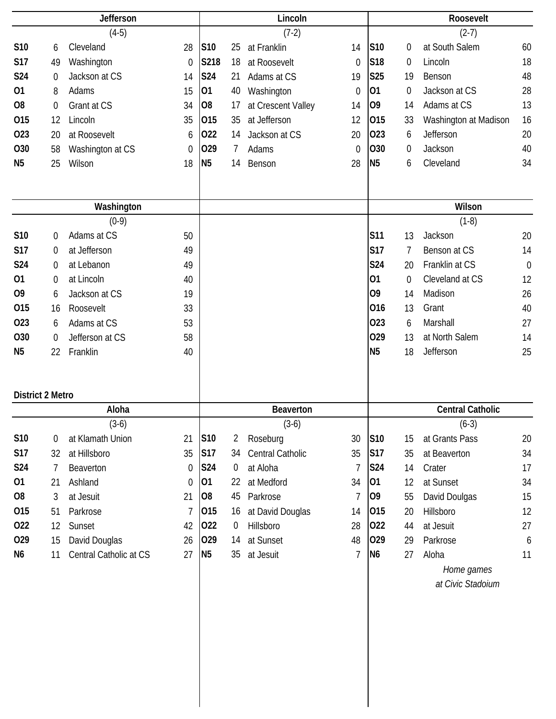|                         |                  | <b>Jefferson</b>       |                |                 |           | Lincoln            |                |                 |                | Roosevelt               |             |
|-------------------------|------------------|------------------------|----------------|-----------------|-----------|--------------------|----------------|-----------------|----------------|-------------------------|-------------|
|                         |                  | $(4-5)$                |                |                 |           | $(7-2)$            |                |                 |                | $(2-7)$                 |             |
| S10                     | 6                | Cleveland              | 28             | S <sub>10</sub> | 25        | at Franklin        | 14             | S <sub>10</sub> | 0              | at South Salem          | 60          |
| S17                     | 49               | Washington             | $\mathbf 0$    | S218            | 18        | at Roosevelt       | $\theta$       | S <sub>18</sub> | 0              | Lincoln                 | 18          |
| S24                     | $\mathbf 0$      | Jackson at CS          | 14             | <b>S24</b>      | 21        | Adams at CS        | 19             | S25             | 19             | Benson                  | 48          |
| 01                      | 8                | Adams                  | 15             | 01              | 40        | Washington         | $\mathbf 0$    | 01              | $\overline{0}$ | Jackson at CS           | 28          |
| O <sub>8</sub>          | $\boldsymbol{0}$ | Grant at CS            | 34             | O <sub>8</sub>  | 17        | at Crescent Valley | 14             | 09              | 14             | Adams at CS             | 13          |
| 015                     | 12               | Lincoln                | 35             | 015             | 35        | at Jefferson       | 12             | 015             | 33             | Washington at Madison   | 16          |
| 023                     | 20               | at Roosevelt           | 6              | 022             | 14        | Jackson at CS      | 20             | 023             | 6              | Jefferson               | 20          |
| O30                     | 58               | Washington at CS       | $\overline{0}$ | 029             | 7         | Adams              | $\Omega$       | O30             | 0              | Jackson                 | 40          |
| N <sub>5</sub>          | 25               | Wilson                 | 18             | N <sub>5</sub>  | 14        | Benson             | 28             | N <sub>5</sub>  | 6              | Cleveland               | 34          |
|                         |                  |                        |                |                 |           |                    |                |                 |                |                         |             |
|                         |                  |                        |                |                 |           |                    |                |                 |                |                         |             |
|                         |                  | Washington             |                |                 |           |                    |                |                 |                | Wilson                  |             |
|                         |                  | $(0-9)$                |                |                 |           |                    |                |                 |                | $(1-8)$                 |             |
| S10                     | $\mathbf 0$      | Adams at CS            | 50             |                 |           |                    |                | <b>S11</b>      | 13             | Jackson                 | 20          |
| <b>S17</b>              | $\mathbf 0$      | at Jefferson           | 49             |                 |           |                    |                | <b>S17</b>      | $\overline{7}$ | Benson at CS            | 14          |
| S24                     | 0                | at Lebanon             | 49             |                 |           |                    |                | <b>S24</b>      | 20             | Franklin at CS          | $\mathbf 0$ |
| 01                      | $\mathbf 0$      | at Lincoln             | 40             |                 |           |                    |                | 01              | $\overline{0}$ | Cleveland at CS         | 12          |
| O <sub>9</sub>          | 6                | Jackson at CS          | 19             |                 |           |                    |                | O <sub>9</sub>  | 14             | Madison                 | 26          |
| 015                     | 16               | Roosevelt              | 33             |                 |           |                    |                | 016             | 13             | Grant                   | 40          |
| 023                     | 6                | Adams at CS            | 53             |                 |           |                    |                | 023             | 6              | Marshall                | 27          |
| O30                     | $\mathbf 0$      | Jefferson at CS        | 58             |                 |           |                    |                | 029             | 13             | at North Salem          | 14          |
| N <sub>5</sub>          | 22               | Franklin               | 40             |                 |           |                    |                | N <sub>5</sub>  | 18             | Jefferson               | 25          |
|                         |                  |                        |                |                 |           |                    |                |                 |                |                         |             |
|                         |                  |                        |                |                 |           |                    |                |                 |                |                         |             |
| <b>District 2 Metro</b> |                  |                        |                |                 |           |                    |                |                 |                |                         |             |
|                         |                  | Aloha                  |                |                 |           | Beaverton          |                |                 |                | <b>Central Catholic</b> |             |
|                         |                  | $(3-6)$                |                |                 |           | $(3-6)$            |                |                 |                | $(6-3)$                 |             |
| S10                     | 0                | at Klamath Union       | 21             | S10             | 2         | Roseburg           | 30             | S10             | 15             | at Grants Pass          | 20          |
| <b>S17</b>              | 32               | at Hillsboro           | 35             | <b>S17</b>      | 34        | Central Catholic   | 35             | <b>S17</b>      | 35             | at Beaverton            | 34          |
| S24                     | 7                | Beaverton              | 0              | <b>S24</b>      | $\pmb{0}$ | at Aloha           | 7              | <b>S24</b>      | 14             | Crater                  | 17          |
| 01                      | 21               | Ashland                | 0              | 01              | 22        | at Medford         | 34             | 01              | 12             | at Sunset               | 34          |
| O <sub>8</sub>          | 3                | at Jesuit              | 21             | O <sub>8</sub>  | 45        | Parkrose           | 7              | O <sub>9</sub>  | 55             | David Doulgas           | 15          |
| 015                     | 51               | Parkrose               | 7              | 015             | 16        | at David Douglas   | 14             | 015             | 20             | Hillsboro               | 12          |
| 022                     | 12               | Sunset                 | 42             | 022             | $\pmb{0}$ | Hillsboro          | 28             | 022             | 44             | at Jesuit               | 27          |
| 029                     | 15               | David Douglas          | 26             | 029             | 14        | at Sunset          | 48             | 029             | 29             | Parkrose                | 6           |
| N <sub>6</sub>          | 11               | Central Catholic at CS | 27             | N <sub>5</sub>  | 35        | at Jesuit          | $\overline{7}$ | N <sub>6</sub>  | 27             | Aloha                   | 11          |
|                         |                  |                        |                |                 |           |                    |                |                 |                | Home games              |             |
|                         |                  |                        |                |                 |           |                    |                |                 |                | at Civic Stadoium       |             |
|                         |                  |                        |                |                 |           |                    |                |                 |                |                         |             |
|                         |                  |                        |                |                 |           |                    |                |                 |                |                         |             |
|                         |                  |                        |                |                 |           |                    |                |                 |                |                         |             |
|                         |                  |                        |                |                 |           |                    |                |                 |                |                         |             |
|                         |                  |                        |                |                 |           |                    |                |                 |                |                         |             |
|                         |                  |                        |                |                 |           |                    |                |                 |                |                         |             |
|                         |                  |                        |                |                 |           |                    |                |                 |                |                         |             |
|                         |                  |                        |                |                 |           |                    |                |                 |                |                         |             |
|                         |                  |                        |                |                 |           |                    |                |                 |                |                         |             |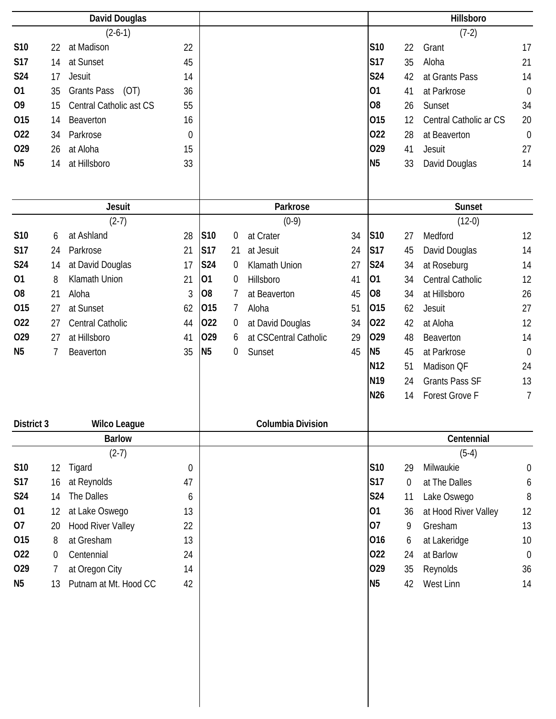|                |    | David Douglas              |                  |                |                |                       |    |                 |             | Hillsboro              |                  |
|----------------|----|----------------------------|------------------|----------------|----------------|-----------------------|----|-----------------|-------------|------------------------|------------------|
|                |    | $(2-6-1)$                  |                  |                |                |                       |    |                 |             | $(7-2)$                |                  |
| S10            | 22 | at Madison                 | 22               |                |                |                       |    | S10             | 22          | Grant                  | 17               |
| <b>S17</b>     | 14 | at Sunset                  | 45               |                |                |                       |    | <b>S17</b>      | 35          | Aloha                  | 21               |
| S24            | 17 | Jesuit                     | 14               |                |                |                       |    | S24             | 42          | at Grants Pass         | 14               |
| 01             | 35 | <b>Grants Pass</b><br>(OT) | 36               |                |                |                       |    | 01              | 41          | at Parkrose            | $\mathbf 0$      |
| O <sub>9</sub> | 15 | Central Catholic ast CS    | 55               |                |                |                       |    | O <sub>8</sub>  | 26          | Sunset                 | 34               |
| 015            | 14 | Beaverton                  | 16               |                |                |                       |    | 015             | 12          | Central Catholic ar CS | 20               |
| 022            | 34 | Parkrose                   | 0                |                |                |                       |    | 022             | 28          | at Beaverton           | $\mathbf 0$      |
| 029            | 26 | at Aloha                   | 15               |                |                |                       |    | 029             | 41          | Jesuit                 | 27               |
| N <sub>5</sub> | 14 | at Hillsboro               | 33               |                |                |                       |    | N <sub>5</sub>  | 33          | David Douglas          | 14               |
|                |    |                            |                  |                |                |                       |    |                 |             |                        |                  |
|                |    |                            |                  |                |                |                       |    |                 |             |                        |                  |
|                |    | <b>Jesuit</b>              |                  |                |                | Parkrose              |    |                 |             | <b>Sunset</b>          |                  |
|                |    | $(2-7)$                    |                  |                |                | $(0-9)$               |    |                 |             | $(12-0)$               |                  |
| S10            | 6  | at Ashland                 | 28               | S10            | 0              | at Crater             | 34 | S10             | 27          | Medford                | 12               |
| <b>S17</b>     | 24 | Parkrose                   | 21               | <b>S17</b>     | 21             | at Jesuit             | 24 | <b>S17</b>      | 45          | David Douglas          | 14               |
| S24            | 14 | at David Douglas           | 17               | <b>S24</b>     | $\overline{0}$ | Klamath Union         | 27 | <b>S24</b>      | 34          | at Roseburg            | 14               |
| 01             | 8  | Klamath Union              | 21               | 01             | 0              | Hillsboro             | 41 | 01              | 34          | Central Catholic       | 12               |
| O <sub>8</sub> | 21 | Aloha                      | 3                | O <sub>8</sub> | 7              | at Beaverton          | 45 | O <sub>8</sub>  | 34          | at Hillsboro           | 26               |
| 015            | 27 | at Sunset                  | 62               | 015            | 7              | Aloha                 | 51 | 015             | 62          | Jesuit                 | 27               |
| 022            | 27 | Central Catholic           | 44               | 022            | $\overline{0}$ | at David Douglas      | 34 | 022             | 42          | at Aloha               | 12               |
| 029            | 27 | at Hillsboro               | 41               | 029            | 6              | at CSCentral Catholic | 29 | 029             | 48          | Beaverton              | 14               |
| N <sub>5</sub> | 7  | Beaverton                  | 35               | N <sub>5</sub> | 0              | Sunset                | 45 | N <sub>5</sub>  | 45          | at Parkrose            | $\mathbf 0$      |
|                |    |                            |                  |                |                |                       |    | N <sub>12</sub> | 51          | Madison QF             | 24               |
|                |    |                            |                  |                |                |                       |    | N <sub>19</sub> | 24          | <b>Grants Pass SF</b>  | 13               |
|                |    |                            |                  |                |                |                       |    | N26             | 14          | Forest Grove F         | $\overline{7}$   |
| District 3     |    | <b>Wilco League</b>        |                  |                |                | Columbia Division     |    |                 |             |                        |                  |
|                |    | <b>Barlow</b>              |                  |                |                |                       |    |                 |             | Centennial             |                  |
|                |    | $(2-7)$                    |                  |                |                |                       |    |                 |             | $(5-4)$                |                  |
| S10            | 12 | Tigard                     | $\boldsymbol{0}$ |                |                |                       |    | S10             | 29          | Milwaukie              | $\boldsymbol{0}$ |
| <b>S17</b>     | 16 | at Reynolds                | 47               |                |                |                       |    | <b>S17</b>      | $\mathbf 0$ | at The Dalles          | 6                |
| <b>S24</b>     | 14 | The Dalles                 | 6                |                |                |                       |    | S24             | 11          | Lake Oswego            | 8                |
| 01             | 12 | at Lake Oswego             | 13               |                |                |                       |    | 01              | 36          | at Hood River Valley   | 12               |
| 07             | 20 | <b>Hood River Valley</b>   | 22               |                |                |                       |    | 07              | 9           | Gresham                | 13               |
| 015            | 8  | at Gresham                 | 13               |                |                |                       |    | 016             | 6           | at Lakeridge           | 10               |
| 022            | 0  | Centennial                 | 24               |                |                |                       |    | 022             | 24          | at Barlow              | $\mathbf 0$      |
| 029            | 7  | at Oregon City             | 14               |                |                |                       |    | 029             | 35          | Reynolds               | 36               |
| N <sub>5</sub> | 13 | Putnam at Mt. Hood CC      | 42               |                |                |                       |    | <b>N5</b>       | 42          | West Linn              | 14               |
|                |    |                            |                  |                |                |                       |    |                 |             |                        |                  |
|                |    |                            |                  |                |                |                       |    |                 |             |                        |                  |
|                |    |                            |                  |                |                |                       |    |                 |             |                        |                  |
|                |    |                            |                  |                |                |                       |    |                 |             |                        |                  |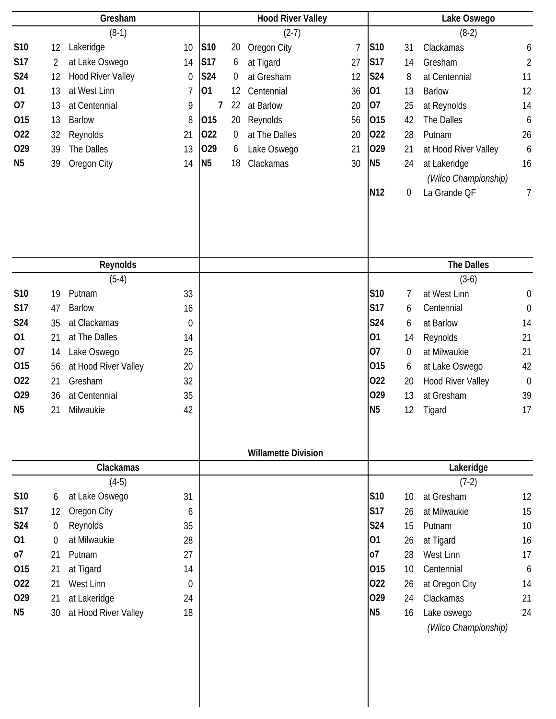|                |          | Gresham                  |    |                |                  | <b>Hood River Valley</b>   |                |                 |                  | Lake Oswego              |                  |
|----------------|----------|--------------------------|----|----------------|------------------|----------------------------|----------------|-----------------|------------------|--------------------------|------------------|
|                |          | $(8-1)$                  |    |                |                  | $(2-7)$                    |                |                 |                  | $(8-2)$                  |                  |
| S10            | $12 \,$  | Lakeridge                | 10 | S10            | 20               | Oregon City                | $\overline{1}$ | S10             | 31               | Clackamas                | 6                |
| <b>S17</b>     | 2        | at Lake Oswego           | 14 | <b>S17</b>     | 6                | at Tigard                  | 27             | <b>S17</b>      | 14               | Gresham                  | $\overline{2}$   |
| <b>S24</b>     | 12       | <b>Hood River Valley</b> | 0  | <b>S24</b>     | $\boldsymbol{0}$ | at Gresham                 | 12             | <b>S24</b>      | 8                | at Centennial            | 11               |
| 01             | 13       | at West Linn             | 7  | 01             | 12               | Centennial                 | 36             | 01              | 13               | <b>Barlow</b>            | 12               |
| 07             | 13       | at Centennial            | 9  | 7              | 22               | at Barlow                  | 20             | 07              | 25               | at Reynolds              | 14               |
| 015            | 13       | <b>Barlow</b>            | 8  | 015            | 20               | Reynolds                   | 56             | 015             | 42               | The Dalles               | 6                |
| 022            | 32       | Reynolds                 | 21 | 022            | 0                | at The Dalles              | 20             | 022             | 28               | Putnam                   | 26               |
| 029            | 39       | The Dalles               | 13 | 029            | 6                | Lake Oswego                | 21             | 029             | 21               | at Hood River Valley     | 6                |
| N <sub>5</sub> | 39       | Oregon City              | 14 | N <sub>5</sub> | 18               | Clackamas                  | 30             | <b>N5</b>       | 24               | at Lakeridge             | 16               |
|                |          |                          |    |                |                  |                            |                |                 |                  | (Wilco Championship)     |                  |
|                |          |                          |    |                |                  |                            |                | N <sub>12</sub> | 0                | La Grande QF             | 7                |
|                |          |                          |    |                |                  |                            |                |                 |                  |                          |                  |
|                |          |                          |    |                |                  |                            |                |                 |                  |                          |                  |
|                |          |                          |    |                |                  |                            |                |                 |                  |                          |                  |
|                |          |                          |    |                |                  |                            |                |                 |                  |                          |                  |
|                |          | Reynolds                 |    |                |                  |                            |                |                 |                  | <b>The Dalles</b>        |                  |
|                |          | $(5-4)$                  |    |                |                  |                            |                |                 |                  | $(3-6)$                  |                  |
| S10            | 19       | Putnam                   | 33 |                |                  |                            |                | <b>S10</b>      | 7                | at West Linn             | $\boldsymbol{0}$ |
| <b>S17</b>     | 47       | <b>Barlow</b>            | 16 |                |                  |                            |                | <b>S17</b>      | 6                | Centennial               | $\boldsymbol{0}$ |
| S24            | 35       | at Clackamas             | 0  |                |                  |                            |                | S24             | 6                | at Barlow                | 14               |
| 01             | 21       | at The Dalles            | 14 |                |                  |                            |                | 01              | 14               | Reynolds                 | 21               |
| 07             | 14       | Lake Oswego              | 25 |                |                  |                            |                | 07              | $\boldsymbol{0}$ | at Milwaukie             | 21               |
| 015            | 56       | at Hood River Valley     | 20 |                |                  |                            |                | 015             | 6                | at Lake Oswego           | 42               |
| 022            | 21       | Gresham                  | 32 |                |                  |                            |                | 022             | 20               | <b>Hood River Valley</b> | $\mathbf 0$      |
| 029            | 36       | at Centennial            | 35 |                |                  |                            |                | 029             | 13               | at Gresham               | 39               |
| N <sub>5</sub> | 21       | Milwaukie                | 42 |                |                  |                            |                | N <sub>5</sub>  | 12               | Tigard                   | 17               |
|                |          |                          |    |                |                  |                            |                |                 |                  |                          |                  |
|                |          |                          |    |                |                  |                            |                |                 |                  |                          |                  |
|                |          |                          |    |                |                  | <b>Willamette Division</b> |                |                 |                  |                          |                  |
|                |          | Clackamas                |    |                |                  |                            |                |                 |                  | Lakeridge                |                  |
|                |          | $(4-5)$                  |    |                |                  |                            |                |                 |                  | $(7-2)$                  |                  |
| S10            | 6        | at Lake Oswego           | 31 |                |                  |                            |                | S10             | 10               | at Gresham               | 12               |
| <b>S17</b>     | 12       | Oregon City              | 6  |                |                  |                            |                | <b>S17</b>      | 26               | at Milwaukie             | 15               |
| S24            | 0        | Reynolds                 | 35 |                |                  |                            |                | <b>S24</b>      | 15               | Putnam                   | 10               |
| 01             | $\Omega$ | at Milwaukie             | 28 |                |                  |                            |                | 01              | 26               | at Tigard                | 16               |
| <b>o7</b>      | 21       | Putnam                   | 27 |                |                  |                            |                | <b>o7</b>       | 28               | West Linn                | 17               |
| 015            | 21       | at Tigard                | 14 |                |                  |                            |                | 015             | 10 <sup>°</sup>  | Centennial               | 6                |
| 022            | 21       | West Linn                | 0  |                |                  |                            |                | 022             | 26               | at Oregon City           | 14               |
| 029            | 21       | at Lakeridge             | 24 |                |                  |                            |                | 029             | 24               | Clackamas                | 21               |
| N <sub>5</sub> | 30       | at Hood River Valley     | 18 |                |                  |                            |                | N <sub>5</sub>  | 16               | Lake oswego              | 24               |
|                |          |                          |    |                |                  |                            |                |                 |                  | (Wilco Championship)     |                  |
|                |          |                          |    |                |                  |                            |                |                 |                  |                          |                  |
|                |          |                          |    |                |                  |                            |                |                 |                  |                          |                  |
|                |          |                          |    |                |                  |                            |                |                 |                  |                          |                  |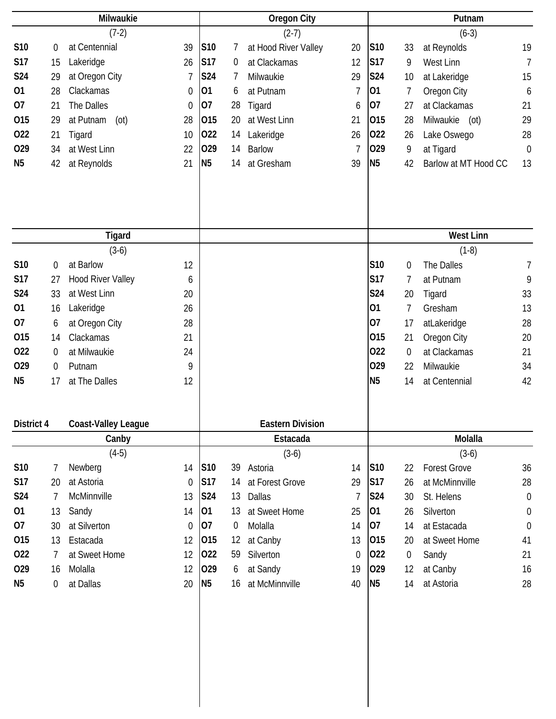|                |    | Milwaukie                  |                |                |         | Oregon City             |                |                |                | Putnam               |                  |
|----------------|----|----------------------------|----------------|----------------|---------|-------------------------|----------------|----------------|----------------|----------------------|------------------|
|                |    | $(7-2)$                    |                |                |         | $(2-7)$                 |                |                |                | $(6-3)$              |                  |
| S10            | 0  | at Centennial              | 39             | <b>S10</b>     | 7       | at Hood River Valley    | 20             | S10            | 33             | at Reynolds          | 19               |
| <b>S17</b>     | 15 | Lakeridge                  | 26             | <b>S17</b>     | 0       | at Clackamas            | 12             | <b>S17</b>     | 9              | West Linn            | $\overline{1}$   |
| <b>S24</b>     | 29 | at Oregon City             | 7              | S24            | 7       | Milwaukie               | 29             | <b>S24</b>     | 10             | at Lakeridge         | 15               |
| 01             | 28 | Clackamas                  | $\mathbf 0$    | 01             | 6       | at Putnam               | $\overline{7}$ | 01             | 7              | Oregon City          | 6                |
| 07             | 21 | The Dalles                 | $\overline{0}$ | 07             | 28      | Tigard                  | 6              | 07             | 27             | at Clackamas         | 21               |
| 015            | 29 | at Putnam<br>(ot)          | 28             | 015            | 20      | at West Linn            | 21             | 015            | 28             | Milwaukie<br>(ot)    | 29               |
| 022            | 21 | Tigard                     | 10             | 022            | 14      | Lakeridge               | 26             | 022            | 26             | Lake Oswego          | 28               |
| 029            | 34 | at West Linn               | 22             | 029            | 14      | <b>Barlow</b>           | 7              | 029            | 9              | at Tigard            | $\mathbf 0$      |
| N <sub>5</sub> | 42 | at Reynolds                | 21             | N <sub>5</sub> | 14      | at Gresham              | 39             | <b>N5</b>      | 42             | Barlow at MT Hood CC | 13               |
|                |    |                            |                |                |         |                         |                |                |                |                      |                  |
|                |    | <b>Tigard</b>              |                |                |         |                         |                |                |                | <b>West Linn</b>     |                  |
|                |    | $(3-6)$                    |                |                |         |                         |                |                |                | $(1-8)$              |                  |
| S10            | 0  | at Barlow                  | 12             |                |         |                         |                | S10            | $\mathbf 0$    | The Dalles           | 7                |
| <b>S17</b>     | 27 | <b>Hood River Valley</b>   | 6              |                |         |                         |                | <b>S17</b>     | 7              | at Putnam            | 9                |
| <b>S24</b>     | 33 | at West Linn               | 20             |                |         |                         |                | S24            | 20             | Tigard               | 33               |
| 01             | 16 | Lakeridge                  | 26             |                |         |                         |                | 01             | 7              | Gresham              | 13               |
| 07             | 6  | at Oregon City             | 28             |                |         |                         |                | 07             | 17             | atLakeridge          | 28               |
| 015            | 14 | Clackamas                  | 21             |                |         |                         |                | 015            | 21             | Oregon City          | 20               |
| 022            | 0  | at Milwaukie               | 24             |                |         |                         |                | 022            | 0              | at Clackamas         | 21               |
| 029            | 0  | Putnam                     | 9              |                |         |                         |                | 029            | 22             | Milwaukie            | 34               |
| N <sub>5</sub> | 17 | at The Dalles              | 12             |                |         |                         |                | N <sub>5</sub> | 14             | at Centennial        | 42               |
| District 4     |    | <b>Coast-Valley League</b> |                |                |         | <b>Eastern Division</b> |                |                |                |                      |                  |
|                |    | Canby                      |                |                |         | Estacada                |                |                |                | Molalla              |                  |
|                |    | $(4-5)$                    |                |                |         | $(3-6)$                 |                |                |                | $(3-6)$              |                  |
| S10            | 7  | Newberg                    | 14             | <b>S10</b>     | 39      | Astoria                 | 14             | S10            | 22             | <b>Forest Grove</b>  | 36               |
| <b>S17</b>     | 20 | at Astoria                 | $\mathbf 0$    | <b>S17</b>     | 14      | at Forest Grove         | 29             | S17            | 26             | at McMinnville       | 28               |
| S24            | 7  | McMinnville                | 13             | S24            | 13      | Dallas                  | 7              | S24            | 30             | St. Helens           | $\mathbf 0$      |
| 01             | 13 | Sandy                      | 14             | 01             | 13      | at Sweet Home           | 25             | 01             | 26             | Silverton            | $\boldsymbol{0}$ |
| 07             | 30 | at Silverton               | 0              | 07             | 0       | Molalla                 | 14             | 07             | 14             | at Estacada          | $\boldsymbol{0}$ |
| 015            | 13 | Estacada                   | 12             | 015            | $12 \,$ | at Canby                | 13             | 015            | 20             | at Sweet Home        | 41               |
| 022            | 7  | at Sweet Home              | 12             | 022            | 59      | Silverton               | $\theta$       | 022            | $\overline{0}$ | Sandy                | 21               |
| 029            | 16 | Molalla                    | 12             | 029            | 6       | at Sandy                | 19             | 029            | 12             | at Canby             | 16               |
| N <sub>5</sub> | 0  | at Dallas                  | 20             | N <sub>5</sub> | 16      | at McMinnville          | 40             | <b>N5</b>      | 14             | at Astoria           | 28               |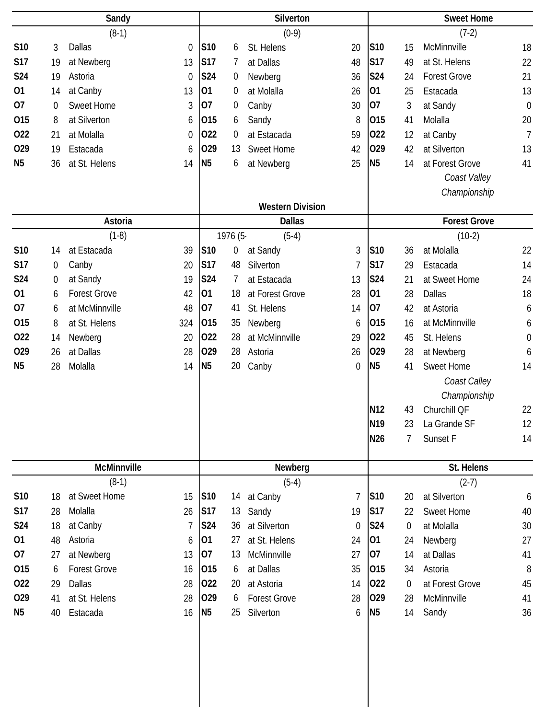|                |    | Sandy                          |                |         | Silverton               |                  |                 |                | <b>Sweet Home</b>   |                  |
|----------------|----|--------------------------------|----------------|---------|-------------------------|------------------|-----------------|----------------|---------------------|------------------|
|                |    | $(8-1)$                        |                |         | $(0-9)$                 |                  |                 |                | $(7-2)$             |                  |
| S10            | 3  | <b>Dallas</b><br>$\mathbf 0$   | S10            | 6       | St. Helens              | 20               | S10             | 15             | McMinnville         | 18               |
| S17            | 19 | at Newberg<br>13               | <b>S17</b>     | 7       | at Dallas               | 48               | <b>S17</b>      | 49             | at St. Helens       | 22               |
| <b>S24</b>     | 19 | Astoria<br>$\mathbf 0$         | S24            | 0       | Newberg                 | 36               | S24             | 24             | <b>Forest Grove</b> | 21               |
| 01             | 14 | at Canby<br>13                 | 01             | 0       | at Molalla              | 26               | 01              | 25             | Estacada            | 13               |
| 07             | 0  | <b>Sweet Home</b><br>3         | 07             | 0       | Canby                   | 30               | 07              | 3              | at Sandy            | $\mathbf 0$      |
| 015            | 8  | at Silverton<br>6              | 015            | 6       | Sandy                   | 8                | 015             | 41             | Molalla             | 20               |
| 022            | 21 | at Molalla<br>$\boldsymbol{0}$ | 022            | 0       | at Estacada             | 59               | 022             | 12             | at Canby            | $\overline{1}$   |
| 029            | 19 | Estacada<br>6                  | 029            | 13      | <b>Sweet Home</b>       | 42               | 029             | 42             | at Silverton        | 13               |
| N <sub>5</sub> | 36 | at St. Helens<br>14            | N <sub>5</sub> | 6       | at Newberg              | 25               | N <sub>5</sub>  | 14             | at Forest Grove     | 41               |
|                |    |                                |                |         |                         |                  |                 |                | Coast Valley        |                  |
|                |    |                                |                |         |                         |                  |                 |                | Championship        |                  |
|                |    |                                |                |         | <b>Western Division</b> |                  |                 |                |                     |                  |
|                |    | Astoria                        |                |         | <b>Dallas</b>           |                  |                 |                | <b>Forest Grove</b> |                  |
|                |    | $(1-8)$                        |                | 1976 (5 | $(5-4)$                 |                  |                 |                | $(10-2)$            |                  |
| S10            | 14 | at Estacada<br>39              | <b>S10</b>     | 0       | at Sandy                | 3                | S10             | 36             | at Molalla          | 22               |
| <b>S17</b>     | 0  | Canby<br>20                    | <b>S17</b>     | 48      | Silverton               | $\overline{7}$   | <b>S17</b>      | 29             | Estacada            | 14               |
| S24            | 0  | at Sandy<br>19                 | S24            | 7       | at Estacada             | 13               | S24             | 21             | at Sweet Home       | 24               |
| 01             | 6  | <b>Forest Grove</b><br>42      | 01             | 18      | at Forest Grove         | 28               | 01              | 28             | Dallas              | 18               |
| 07             | 6  | at McMinnville<br>48           | 07             | 41      | St. Helens              | 14               | 07              | 42             | at Astoria          | 6                |
| 015            | 8  | at St. Helens<br>324           | 015            | 35      | Newberg                 | 6                | 015             | 16             | at McMinnville      | 6                |
| 022            | 14 | 20<br>Newberg                  | 022            | 28      | at McMinnville          | 29               | 022             | 45             | St. Helens          | $\boldsymbol{0}$ |
| 029            | 26 | at Dallas<br>28                | 029            | 28      | Astoria                 | 26               | 029             | 28             | at Newberg          | 6                |
| N <sub>5</sub> | 28 | Molalla<br>14                  | <b>N5</b>      | 20      | Canby                   | $\boldsymbol{0}$ | N <sub>5</sub>  | 41             | <b>Sweet Home</b>   | 14               |
|                |    |                                |                |         |                         |                  |                 |                | Coast Calley        |                  |
|                |    |                                |                |         |                         |                  |                 |                | Championship        |                  |
|                |    |                                |                |         |                         |                  | N <sub>12</sub> | 43             | Churchill QF        | 22               |
|                |    |                                |                |         |                         |                  | N <sub>19</sub> | 23             | La Grande SF        | 12               |
|                |    |                                |                |         |                         |                  | N26             | 7              | Sunset F            | 14               |
|                |    |                                |                |         |                         |                  |                 |                |                     |                  |
|                |    | McMinnville                    |                |         | Newberg                 |                  |                 |                | St. Helens          |                  |
|                |    | $(8-1)$                        |                |         | $(5-4)$                 |                  |                 |                | $(2-7)$             |                  |
| S10            | 18 | at Sweet Home<br>15            | <b>S10</b>     | 14      | at Canby                | 7                | S <sub>10</sub> | 20             | at Silverton        | 6                |
| <b>S17</b>     | 28 | Molalla<br>26                  | <b>S17</b>     | 13      | Sandy                   | 19               | <b>S17</b>      | 22             | Sweet Home          | 40               |
| S24            | 18 | at Canby<br>7                  | <b>S24</b>     | 36      | at Silverton            | $\Omega$         | S24             | $\overline{0}$ | at Molalla          | 30               |
| 01             | 48 | Astoria<br>6                   | 01             | 27      | at St. Helens           | 24               | 01              | 24             | Newberg             | 27               |
| 07             | 27 | at Newberg<br>13               | 07             | 13      | McMinnville             | 27               | 07              | 14             | at Dallas           | 41               |
| 015            | 6  | <b>Forest Grove</b><br>16      | 015            | 6       | at Dallas               | 35               | 015             | 34             | Astoria             | 8                |
| 022            | 29 | Dallas<br>28                   | 022            | 20      | at Astoria              | 14               | 022             | $\Omega$       | at Forest Grove     | 45               |
| 029            | 41 | at St. Helens<br>28            | 029            | 6       | <b>Forest Grove</b>     | 28               | 029             | 28             | McMinnville         | 41               |
| N <sub>5</sub> | 40 | Estacada<br>16                 | N <sub>5</sub> | 25      | Silverton               | 6                | <b>N5</b>       | 14             | Sandy               | 36               |
|                |    |                                |                |         |                         |                  |                 |                |                     |                  |
|                |    |                                |                |         |                         |                  |                 |                |                     |                  |
|                |    |                                |                |         |                         |                  |                 |                |                     |                  |
|                |    |                                |                |         |                         |                  |                 |                |                     |                  |
|                |    |                                |                |         |                         |                  |                 |                |                     |                  |
|                |    |                                |                |         |                         |                  |                 |                |                     |                  |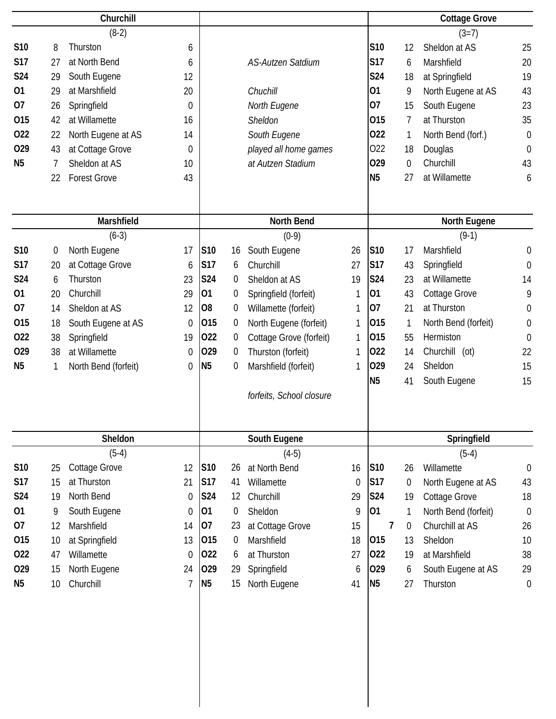|                |             | Churchill            |                  |                |    |                          |                |                |    | <b>Cottage Grove</b> |                  |
|----------------|-------------|----------------------|------------------|----------------|----|--------------------------|----------------|----------------|----|----------------------|------------------|
|                |             | $(8-2)$              |                  |                |    |                          |                |                |    | $(3=7)$              |                  |
| S10            | 8           | Thurston             | 6                |                |    |                          |                | <b>S10</b>     | 12 | Sheldon at AS        | 25               |
| <b>S17</b>     | 27          | at North Bend        | 6                |                |    | <b>AS-Autzen Satdium</b> |                | <b>S17</b>     | 6  | Marshfield           | 20               |
| S24            | 29          | South Eugene         | 12               |                |    |                          |                | S24            | 18 | at Springfield       | 19               |
| 01             | 29          | at Marshfield        | 20               |                |    | Chuchill                 |                | 01             | 9  | North Eugene at AS   | 43               |
| 07             | 26          | Springfield          | $\Omega$         |                |    | North Eugene             |                | 07             | 15 | South Eugene         | 23               |
| 015            | 42          | at Willamette        | 16               |                |    | Sheldon                  |                | 015            | 7  | at Thurston          | 35               |
| 022            | 22          | North Eugene at AS   | 14               |                |    | South Eugene             |                | 022            | 1  | North Bend (forf.)   | $\boldsymbol{0}$ |
| 029            | 43          | at Cottage Grove     | 0                |                |    | played all home games    |                | 022            | 18 | Douglas              | $\mathbf 0$      |
| N <sub>5</sub> | 7           | Sheldon at AS        | 10               |                |    | at Autzen Stadium        |                | 029            | 0  | Churchill            | 43               |
|                | 22          | <b>Forest Grove</b>  | 43               |                |    |                          |                | N <sub>5</sub> | 27 | at Willamette        | 6                |
|                |             |                      |                  |                |    |                          |                |                |    |                      |                  |
|                |             | Marshfield           |                  |                |    | North Bend               |                |                |    | North Eugene         |                  |
|                |             | $(6-3)$              |                  |                |    | $(0-9)$                  |                |                |    | $(9-1)$              |                  |
| S10            | $\mathbf 0$ | North Eugene         | 17               | S10            | 16 | South Eugene             | 26             | S10            | 17 | Marshfield           | $\boldsymbol{0}$ |
| <b>S17</b>     | 20          | at Cottage Grove     | 6                | <b>S17</b>     | 6  | Churchill                | 27             | <b>S17</b>     | 43 | Springfield          | $\boldsymbol{0}$ |
| S24            | 6           | Thurston             | 23               | <b>S24</b>     | 0  | Sheldon at AS            | 19             | S24            | 23 | at Willamette        | 14               |
| 01             | 20          | Churchill            | 29               | 01             | 0  | Springfield (forfeit)    | 1              | 01             | 43 | Cottage Grove        | 9                |
| 07             | 14          | Sheldon at AS        | 12               | O <sub>8</sub> | 0  | Willamette (forfeit)     | 1              | 07             | 21 | at Thurston          | $\boldsymbol{0}$ |
| 015            | 18          | South Eugene at AS   | $\boldsymbol{0}$ | 015            | 0  | North Eugene (forfeit)   | 1              | 015            | 1  | North Bend (forfeit) | $\boldsymbol{0}$ |
| 022            | 38          | Springfield          | 19               | 022            | 0  | Cottage Grove (forfeit)  | 1              | 015            | 55 | Hermiston            | $\mathbf 0$      |
| 029            | 38          | at Willamette        | $\mathbf 0$      | 029            | 0  | Thurston (forfeit)       | 1              | 022            | 14 | Churchill (ot)       | 22               |
| N <sub>5</sub> | 1           | North Bend (forfeit) | $\boldsymbol{0}$ | N <sub>5</sub> | 0  | Marshfield (forfeit)     | 1              | 029            | 24 | Sheldon              | 15               |
|                |             |                      |                  |                |    |                          |                | N <sub>5</sub> | 41 | South Eugene         | 15               |
|                |             |                      |                  |                |    | forfeits, School closure |                |                |    |                      |                  |
|                |             |                      |                  |                |    |                          |                |                |    |                      |                  |
|                |             | Sheldon              |                  |                |    | South Eugene             |                |                |    | Springfield          |                  |
|                |             | $(5-4)$              |                  |                |    | $(4-5)$                  |                |                |    | $(5-4)$              |                  |
| S10            | 25          | <b>Cottage Grove</b> | 12               | S10            | 26 | at North Bend            | 16             | S10            | 26 | Willamette           | $\mathbf 0$      |
| <b>S17</b>     | 15          | at Thurston          | 21               | <b>S17</b>     | 41 | Willamette               | $\overline{0}$ | S17            | 0  | North Eugene at AS   | 43               |
| <b>S24</b>     | 19          | North Bend           | $\boldsymbol{0}$ | <b>S24</b>     | 12 | Churchill                | 29             | <b>S24</b>     | 19 | Cottage Grove        | 18               |
| 01             | 9           | South Eugene         | 0                | 01             | 0  | Sheldon                  | 9              | 01             | 1  | North Bend (forfeit) | $\mathbf 0$      |
| 07             | 12          | Marshfield           | 14               | 07             | 23 | at Cottage Grove         | 15             | $\overline{7}$ | 0  | Churchill at AS      | 26               |
| 015            | 10          | at Springfield       | 13               | 015            | 0  | Marshfield               | 18             | 015            | 13 | Sheldon              | 10               |
| 022            | 47          | Willamette           | $\theta$         | 022            | 6  | at Thurston              | 27             | 022            | 19 | at Marshfield        | 38               |
| 029            | 15          | North Eugene         | 24               | 029            | 29 | Springfield              | 6              | 029            | 6  | South Eugene at AS   | 29               |
| N <sub>5</sub> | 10          | Churchill            | 7                | N <sub>5</sub> | 15 | North Eugene             | 41             | N <sub>5</sub> | 27 | Thurston             | $\boldsymbol{0}$ |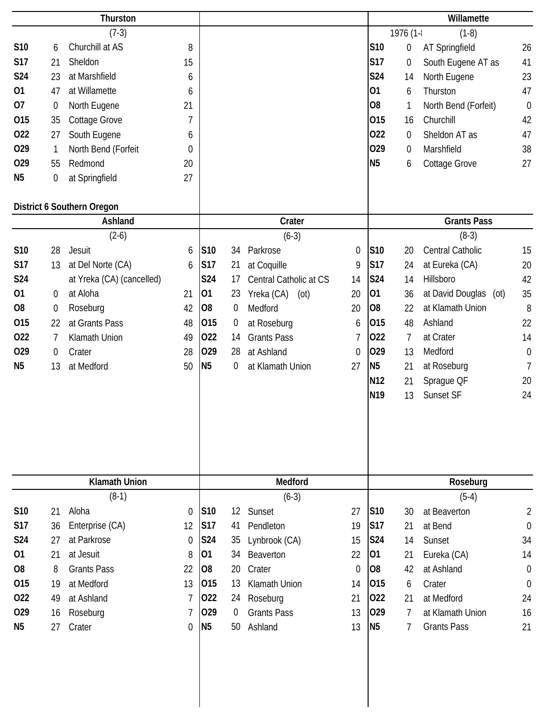|                |                  | Thurston                   |                |                |                 |                        |                |                 |                  | Willamette                     |                  |
|----------------|------------------|----------------------------|----------------|----------------|-----------------|------------------------|----------------|-----------------|------------------|--------------------------------|------------------|
|                |                  | $(7-3)$                    |                |                |                 |                        |                |                 | 1976 (1-         | $(1-8)$                        |                  |
| S10            | 6                | Churchill at AS            | 8              |                |                 |                        |                | S10             | 0                | <b>AT Springfield</b>          | 26               |
| <b>S17</b>     | 21               | Sheldon                    | 15             |                |                 |                        |                | <b>S17</b>      | 0                | South Eugene AT as             | 41               |
| <b>S24</b>     | 23               | at Marshfield              | 6              |                |                 |                        |                | <b>S24</b>      | 14               | North Eugene                   | 23               |
| 01             | 47               | at Willamette              | 6              |                |                 |                        |                | 01              | 6                | Thurston                       | 47               |
| 07             | $\boldsymbol{0}$ | North Eugene               | 21             |                |                 |                        |                | O <sub>8</sub>  | 1                | North Bend (Forfeit)           | $\boldsymbol{0}$ |
| 015            | 35               | Cottage Grove              | 7              |                |                 |                        |                | 015             | 16               | Churchill                      | 42               |
| 022            | 27               | South Eugene               | 6              |                |                 |                        |                | 022             | $\boldsymbol{0}$ | Sheldon AT as                  | 47               |
| 029            | $\mathbf{1}$     | North Bend (Forfeit        | $\overline{0}$ |                |                 |                        |                | 029             | $\mathbf 0$      | Marshfield                     | 38               |
| 029            | 55               | Redmond                    | 20             |                |                 |                        |                | N <sub>5</sub>  | 6                | Cottage Grove                  | 27               |
| N <sub>5</sub> | 0                | at Springfield             | 27             |                |                 |                        |                |                 |                  |                                |                  |
|                |                  |                            |                |                |                 |                        |                |                 |                  |                                |                  |
|                |                  | District 6 Southern Oregon |                |                |                 |                        |                |                 |                  |                                |                  |
|                |                  | Ashland                    |                |                |                 | Crater                 |                |                 |                  | <b>Grants Pass</b>             |                  |
|                |                  | $(2-6)$                    |                |                |                 | $(6-3)$                |                |                 |                  | $(8-3)$                        |                  |
| S10            | 28               | Jesuit                     | 6              | S10            | 34              | Parkrose               | $\mathbf 0$    | <b>S10</b>      | 20               | Central Catholic               | 15               |
| <b>S17</b>     | 13               | at Del Norte (CA)          | 6              | <b>S17</b>     | 21              | at Coquille            | 9              | <b>S17</b>      | 24               | at Eureka (CA)                 | 20               |
| <b>S24</b>     |                  | at Yreka (CA) (cancelled)  |                | <b>S24</b>     | 17              | Central Catholic at CS | 14             | S24             | 14               | Hillsboro                      | 42               |
| 01             | 0                | at Aloha                   | 21             | 01             | 23              | Yreka (CA)<br>(ot)     | 20             | 01              | 36               | at David Douglas<br>$($ ot $)$ | 35               |
| O <sub>8</sub> | $\boldsymbol{0}$ | Roseburg                   | 42             | O <sub>8</sub> | 0               | Medford                | 20             | O <sub>8</sub>  | 22               | at Klamath Union               | 8                |
| 015            | 22               | at Grants Pass             | 48             | 015            | 0               | at Roseburg            | 6              | 015             | 48               | Ashland                        | 22               |
| 022            | 7                | Klamath Union              | 49             | 022            | 14              | <b>Grants Pass</b>     | $\overline{7}$ | 022             | 7                | at Crater                      | 14               |
| 029            | 0                | Crater                     | 28             | 029            | 28              | at Ashland             | $\mathbf 0$    | 029             | 13               | Medford                        | $\mathbf 0$      |
| N <sub>5</sub> | 13               | at Medford                 | 50             | <b>N5</b>      | 0               | at Klamath Union       | 27             | N <sub>5</sub>  | 21               | at Roseburg                    | 7                |
|                |                  |                            |                |                |                 |                        |                | N <sub>12</sub> | 21               | Sprague QF                     | 20               |
|                |                  |                            |                |                |                 |                        |                | N <sub>19</sub> | 13               | Sunset SF                      | 24               |
|                |                  |                            |                |                |                 |                        |                |                 |                  |                                |                  |
|                |                  |                            |                |                |                 |                        |                |                 |                  |                                |                  |
|                |                  |                            |                |                |                 |                        |                |                 |                  |                                |                  |
|                |                  |                            |                |                |                 |                        |                |                 |                  |                                |                  |
|                |                  | <b>Klamath Union</b>       |                |                |                 | Medford                |                |                 |                  | Roseburg                       |                  |
|                |                  | $(8-1)$                    |                |                |                 | $(6-3)$                |                |                 |                  | $(5-4)$                        |                  |
| S10            | 21               | Aloha                      | $\overline{0}$ | <b>S10</b>     | 12 <sup>°</sup> | Sunset                 | 27             | <b>S10</b>      | 30               | at Beaverton                   | $\overline{2}$   |
| <b>S17</b>     | 36               | Enterprise (CA)            | 12             | <b>S17</b>     | 41              | Pendleton              | 19             | <b>S17</b>      | 21               | at Bend                        | $\boldsymbol{0}$ |
| S24            | 27               | at Parkrose                | $\mathbf 0$    | <b>S24</b>     | 35              | Lynbrook (CA)          | 15             | S24             | 14               | Sunset                         | 34               |
| 01             | 21               | at Jesuit                  | 8              | 01             | 34              | Beaverton              | 22             | 01              | 21               | Eureka (CA)                    | 14               |
| O <sub>8</sub> | 8                | <b>Grants Pass</b>         | 22             | O <sub>8</sub> | 20              | Crater                 | $\theta$       | O <sub>8</sub>  | 42               | at Ashland                     | $\boldsymbol{0}$ |
| 015            | 19               | at Medford                 | 13             | 015            | 13              | Klamath Union          | 14             | 015             | 6                | Crater                         | $\mathbf 0$      |
| 022            | 49               | at Ashland                 | 7              | 022            | 24              | Roseburg               | 21             | 022             | 21               | at Medford                     | 24               |
| 029            | 16               | Roseburg                   | 7              | 029            | $\overline{0}$  | <b>Grants Pass</b>     | 13             | 029             | $\overline{7}$   | at Klamath Union               | 16               |
| N <sub>5</sub> | 27               | Crater                     | $\mathbf 0$    | N <sub>5</sub> | 50              | Ashland                | 13             | N <sub>5</sub>  | 7                | <b>Grants Pass</b>             | 21               |
|                |                  |                            |                |                |                 |                        |                |                 |                  |                                |                  |
|                |                  |                            |                |                |                 |                        |                |                 |                  |                                |                  |
|                |                  |                            |                |                |                 |                        |                |                 |                  |                                |                  |
|                |                  |                            |                |                |                 |                        |                |                 |                  |                                |                  |
|                |                  |                            |                |                |                 |                        |                |                 |                  |                                |                  |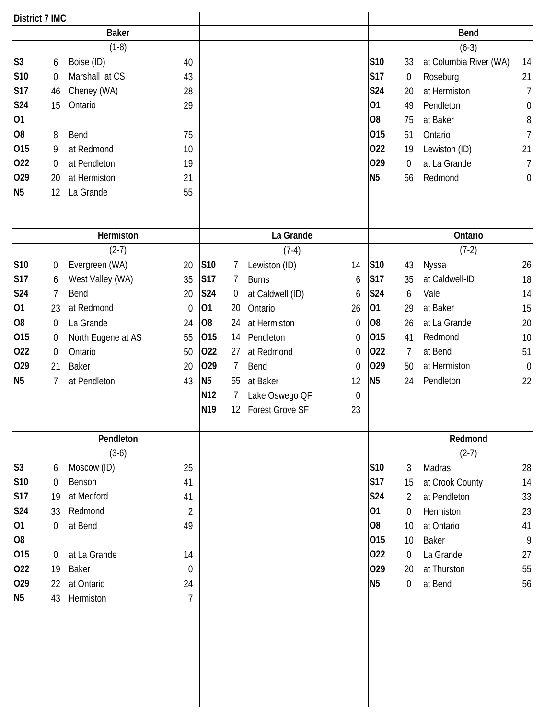| District 7 IMC |                  |                    |                |                 |                   |                        |                  |                |                 |                        |                  |
|----------------|------------------|--------------------|----------------|-----------------|-------------------|------------------------|------------------|----------------|-----------------|------------------------|------------------|
|                |                  | <b>Baker</b>       |                |                 |                   |                        |                  |                |                 | <b>Bend</b>            |                  |
|                |                  | $(1-8)$            |                |                 |                   |                        |                  |                |                 | $(6-3)$                |                  |
| S <sub>3</sub> | 6                | Boise (ID)         | 40             |                 |                   |                        |                  | S10            | 33              | at Columbia River (WA) | 14               |
| S10            | $\mathbf 0$      | Marshall at CS     | 43             |                 |                   |                        |                  | S17            | 0               | Roseburg               | 21               |
| S17            | 46               | Cheney (WA)        | 28             |                 |                   |                        |                  | S24            | 20              | at Hermiston           | $\overline{7}$   |
| <b>S24</b>     | 15               | Ontario            | 29             |                 |                   |                        |                  | 01             | 49              | Pendleton              | $\boldsymbol{0}$ |
| 01             |                  |                    |                |                 |                   |                        |                  | O <sub>8</sub> | 75              | at Baker               | 8                |
| O <sub>8</sub> | 8                | Bend               | 75             |                 |                   |                        |                  | 015            | 51              | Ontario                | $\overline{7}$   |
| 015            | 9                | at Redmond         | 10             |                 |                   |                        |                  | 022            | 19              | Lewiston (ID)          | 21               |
| 022            | $\overline{0}$   | at Pendleton       | 19             |                 |                   |                        |                  | 029            | 0               | at La Grande           | $\overline{7}$   |
| 029            | 20               | at Hermiston       | 21             |                 |                   |                        |                  | N <sub>5</sub> | 56              | Redmond                | $\boldsymbol{0}$ |
| N <sub>5</sub> | 12               | La Grande          | 55             |                 |                   |                        |                  |                |                 |                        |                  |
|                |                  | Hermiston          |                |                 |                   | La Grande              |                  |                |                 | Ontario                |                  |
|                |                  | $(2-7)$            |                |                 |                   | $(7-4)$                |                  |                |                 | $(7-2)$                |                  |
| S10            | 0                | Evergreen (WA)     | 20             | S10             | 7                 | Lewiston (ID)          | 14               | S10            | 43              | Nyssa                  | 26               |
| <b>S17</b>     | 6                | West Valley (WA)   | 35             | <b>S17</b>      | 7                 | <b>Burns</b>           | 6                | <b>S17</b>     | 35              | at Caldwell-ID         | 18               |
| S24            | 7                | Bend               | 20             | <b>S24</b>      | $\overline{0}$    | at Caldwell (ID)       | 6                | S24            | 6               | Vale                   | 14               |
| 01             | 23               | at Redmond         | $\mathbf 0$    | 01              | 20                | Ontario                | 26               | 01             | 29              | at Baker               | 15               |
| O <sub>8</sub> | $\boldsymbol{0}$ | La Grande          | 24             | O <sub>8</sub>  | 24                | at Hermiston           | $\mathbf 0$      | O <sub>8</sub> | 26              | at La Grande           | 20               |
| 015            | 0                | North Eugene at AS | 55             | 015             | 14                | Pendleton              | 0                | 015            | 41              | Redmond                | 10               |
| 022            | $\boldsymbol{0}$ | Ontario            | 50             | 022             | 27                | at Redmond             | 0                | 022            | 7               | at Bend                | 51               |
| 029            | 21               | <b>Baker</b>       | 20             | 029             | 7                 | Bend                   | $\mathbf 0$      | 029            | 50              | at Hermiston           | $\mathbf 0$      |
| N <sub>5</sub> | 7                | at Pendleton       | 43             | N <sub>5</sub>  | 55                | at Baker               | 12               | N <sub>5</sub> | 24              | Pendleton              | 22               |
|                |                  |                    |                | N <sub>12</sub> | 7                 | Lake Oswego QF         | $\boldsymbol{0}$ |                |                 |                        |                  |
|                |                  |                    |                | N <sub>19</sub> | $12 \overline{ }$ | <b>Forest Grove SF</b> | 23               |                |                 |                        |                  |
|                |                  | Pendleton          |                |                 |                   |                        |                  |                |                 | Redmond                |                  |
|                |                  | $(3-6)$            |                |                 |                   |                        |                  |                |                 | $(2-7)$                |                  |
| S <sub>3</sub> | 6                | Moscow (ID)        | 25             |                 |                   |                        |                  | S10            | 3               | Madras                 | 28               |
| S10            | $\Omega$         | Benson             | 41             |                 |                   |                        |                  | S17            | 15              | at Crook County        | 14               |
| <b>S17</b>     | 19               | at Medford         | 41             |                 |                   |                        |                  | S24            | $\overline{2}$  | at Pendleton           | 33               |
| <b>S24</b>     | 33               | Redmond            | $\overline{2}$ |                 |                   |                        |                  | 01             | 0               | Hermiston              | 23               |
| 01             | $\boldsymbol{0}$ | at Bend            | 49             |                 |                   |                        |                  | O8             | 10 <sup>°</sup> | at Ontario             | 41               |
| O <sub>8</sub> |                  |                    |                |                 |                   |                        |                  | 015            | 10 <sup>°</sup> | Baker                  | 9                |
| 015            | $\overline{0}$   | at La Grande       | 14             |                 |                   |                        |                  | 022            | $\overline{0}$  | La Grande              | 27               |
| 022            | 19               | <b>Baker</b>       | $\mathbf 0$    |                 |                   |                        |                  | 029            | 20              | at Thurston            | 55               |
| 029            | 22               | at Ontario         | 24             |                 |                   |                        |                  | <b>N5</b>      | 0               | at Bend                | 56               |
| N <sub>5</sub> | 43               | Hermiston          | $\overline{7}$ |                 |                   |                        |                  |                |                 |                        |                  |
|                |                  |                    |                |                 |                   |                        |                  |                |                 |                        |                  |
|                |                  |                    |                |                 |                   |                        |                  |                |                 |                        |                  |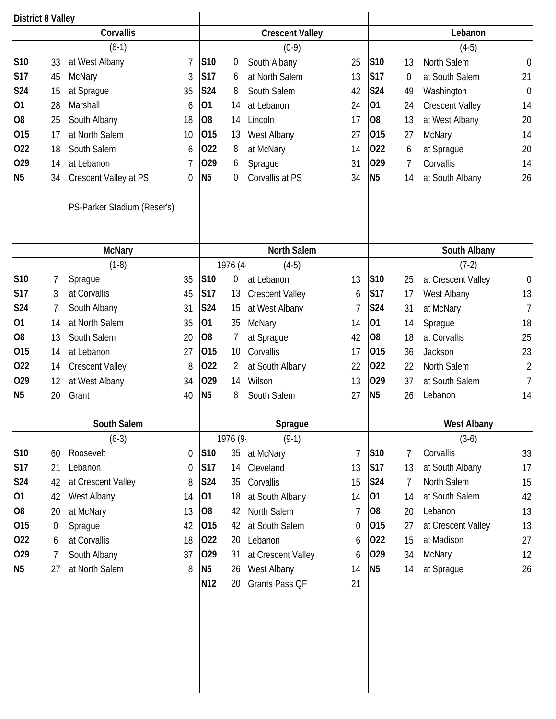| <b>Crescent Valley</b><br>$(0-9)$<br>South Albany<br>0<br>at North Salem<br>6<br>South Salem<br>8<br>14<br>at Lebanon<br>14<br>Lincoln<br>13<br>West Albany<br>8<br>at McNary<br>6<br>Sprague<br>0<br>Corvallis at PS<br>North Salem<br>1976 (4<br>$(4-5)$<br>0<br>at Lebanon<br>13<br><b>Crescent Valley</b><br>15<br>at West Albany<br>35<br><b>McNary</b><br>7<br>at Sprague<br>10<br>Corvallis<br>$\overline{2}$<br>at South Albany<br>Wilson<br>14 | Lebanon<br>$(4-5)$<br>S10<br>25<br>North Salem<br>$\mathbf 0$<br>13<br><b>S17</b><br>21<br>13<br>at South Salem<br>0<br><b>S24</b><br>Washington<br>$\mathbf 0$<br>42<br>49<br>01<br><b>Crescent Valley</b><br>24<br>24<br>14<br>20<br>17<br>O <sub>8</sub><br>13<br>at West Albany<br>015<br>14<br>27<br><b>McNary</b><br>27<br>022<br>20<br>at Sprague<br>14<br>6<br>029<br>31<br>Corvallis<br>14<br>7<br>N <sub>5</sub><br>26<br>at South Albany<br>34<br>14<br>South Albany<br>$(7-2)$<br>S10<br>13<br>at Crescent Valley<br>$\mathbf 0$<br>25<br><b>S17</b><br>13<br>West Albany<br>17<br>6<br><b>S24</b><br>$\overline{7}$<br>at McNary<br>31<br>01<br>18<br>Sprague<br>14<br>14<br>25<br>42<br>O <sub>8</sub><br>18<br>at Corvallis<br>015<br>23<br>Jackson<br>17<br>36<br>022<br>North Salem<br>22<br>22<br>029<br>13<br>at South Salem<br>37<br>N <sub>5</sub><br>27<br>26<br>Lebanon<br>14 |
|---------------------------------------------------------------------------------------------------------------------------------------------------------------------------------------------------------------------------------------------------------------------------------------------------------------------------------------------------------------------------------------------------------------------------------------------------------|------------------------------------------------------------------------------------------------------------------------------------------------------------------------------------------------------------------------------------------------------------------------------------------------------------------------------------------------------------------------------------------------------------------------------------------------------------------------------------------------------------------------------------------------------------------------------------------------------------------------------------------------------------------------------------------------------------------------------------------------------------------------------------------------------------------------------------------------------------------------------------------------------|
|                                                                                                                                                                                                                                                                                                                                                                                                                                                         |                                                                                                                                                                                                                                                                                                                                                                                                                                                                                                                                                                                                                                                                                                                                                                                                                                                                                                      |
|                                                                                                                                                                                                                                                                                                                                                                                                                                                         |                                                                                                                                                                                                                                                                                                                                                                                                                                                                                                                                                                                                                                                                                                                                                                                                                                                                                                      |
|                                                                                                                                                                                                                                                                                                                                                                                                                                                         |                                                                                                                                                                                                                                                                                                                                                                                                                                                                                                                                                                                                                                                                                                                                                                                                                                                                                                      |
|                                                                                                                                                                                                                                                                                                                                                                                                                                                         |                                                                                                                                                                                                                                                                                                                                                                                                                                                                                                                                                                                                                                                                                                                                                                                                                                                                                                      |
|                                                                                                                                                                                                                                                                                                                                                                                                                                                         |                                                                                                                                                                                                                                                                                                                                                                                                                                                                                                                                                                                                                                                                                                                                                                                                                                                                                                      |
|                                                                                                                                                                                                                                                                                                                                                                                                                                                         |                                                                                                                                                                                                                                                                                                                                                                                                                                                                                                                                                                                                                                                                                                                                                                                                                                                                                                      |
|                                                                                                                                                                                                                                                                                                                                                                                                                                                         |                                                                                                                                                                                                                                                                                                                                                                                                                                                                                                                                                                                                                                                                                                                                                                                                                                                                                                      |
|                                                                                                                                                                                                                                                                                                                                                                                                                                                         |                                                                                                                                                                                                                                                                                                                                                                                                                                                                                                                                                                                                                                                                                                                                                                                                                                                                                                      |
|                                                                                                                                                                                                                                                                                                                                                                                                                                                         |                                                                                                                                                                                                                                                                                                                                                                                                                                                                                                                                                                                                                                                                                                                                                                                                                                                                                                      |
|                                                                                                                                                                                                                                                                                                                                                                                                                                                         |                                                                                                                                                                                                                                                                                                                                                                                                                                                                                                                                                                                                                                                                                                                                                                                                                                                                                                      |
|                                                                                                                                                                                                                                                                                                                                                                                                                                                         |                                                                                                                                                                                                                                                                                                                                                                                                                                                                                                                                                                                                                                                                                                                                                                                                                                                                                                      |
|                                                                                                                                                                                                                                                                                                                                                                                                                                                         |                                                                                                                                                                                                                                                                                                                                                                                                                                                                                                                                                                                                                                                                                                                                                                                                                                                                                                      |
|                                                                                                                                                                                                                                                                                                                                                                                                                                                         |                                                                                                                                                                                                                                                                                                                                                                                                                                                                                                                                                                                                                                                                                                                                                                                                                                                                                                      |
|                                                                                                                                                                                                                                                                                                                                                                                                                                                         |                                                                                                                                                                                                                                                                                                                                                                                                                                                                                                                                                                                                                                                                                                                                                                                                                                                                                                      |
|                                                                                                                                                                                                                                                                                                                                                                                                                                                         |                                                                                                                                                                                                                                                                                                                                                                                                                                                                                                                                                                                                                                                                                                                                                                                                                                                                                                      |
|                                                                                                                                                                                                                                                                                                                                                                                                                                                         |                                                                                                                                                                                                                                                                                                                                                                                                                                                                                                                                                                                                                                                                                                                                                                                                                                                                                                      |
|                                                                                                                                                                                                                                                                                                                                                                                                                                                         |                                                                                                                                                                                                                                                                                                                                                                                                                                                                                                                                                                                                                                                                                                                                                                                                                                                                                                      |
|                                                                                                                                                                                                                                                                                                                                                                                                                                                         |                                                                                                                                                                                                                                                                                                                                                                                                                                                                                                                                                                                                                                                                                                                                                                                                                                                                                                      |
|                                                                                                                                                                                                                                                                                                                                                                                                                                                         |                                                                                                                                                                                                                                                                                                                                                                                                                                                                                                                                                                                                                                                                                                                                                                                                                                                                                                      |
|                                                                                                                                                                                                                                                                                                                                                                                                                                                         |                                                                                                                                                                                                                                                                                                                                                                                                                                                                                                                                                                                                                                                                                                                                                                                                                                                                                                      |
|                                                                                                                                                                                                                                                                                                                                                                                                                                                         |                                                                                                                                                                                                                                                                                                                                                                                                                                                                                                                                                                                                                                                                                                                                                                                                                                                                                                      |
|                                                                                                                                                                                                                                                                                                                                                                                                                                                         |                                                                                                                                                                                                                                                                                                                                                                                                                                                                                                                                                                                                                                                                                                                                                                                                                                                                                                      |
| 8<br>South Salem                                                                                                                                                                                                                                                                                                                                                                                                                                        |                                                                                                                                                                                                                                                                                                                                                                                                                                                                                                                                                                                                                                                                                                                                                                                                                                                                                                      |
| Sprague                                                                                                                                                                                                                                                                                                                                                                                                                                                 | <b>West Albany</b>                                                                                                                                                                                                                                                                                                                                                                                                                                                                                                                                                                                                                                                                                                                                                                                                                                                                                   |
| 1976 (9.<br>$(9-1)$                                                                                                                                                                                                                                                                                                                                                                                                                                     | $(3-6)$                                                                                                                                                                                                                                                                                                                                                                                                                                                                                                                                                                                                                                                                                                                                                                                                                                                                                              |
| 35<br>at McNary                                                                                                                                                                                                                                                                                                                                                                                                                                         | S10<br>Corvallis<br>33<br>$\overline{7}$<br>7                                                                                                                                                                                                                                                                                                                                                                                                                                                                                                                                                                                                                                                                                                                                                                                                                                                        |
| Cleveland<br>14                                                                                                                                                                                                                                                                                                                                                                                                                                         | S17<br>at South Albany<br>17<br>13<br>13                                                                                                                                                                                                                                                                                                                                                                                                                                                                                                                                                                                                                                                                                                                                                                                                                                                             |
| 35<br>Corvallis                                                                                                                                                                                                                                                                                                                                                                                                                                         | North Salem<br>S24<br>15<br>15<br>7                                                                                                                                                                                                                                                                                                                                                                                                                                                                                                                                                                                                                                                                                                                                                                                                                                                                  |
| at South Albany<br>18                                                                                                                                                                                                                                                                                                                                                                                                                                   | 01<br>at South Salem<br>42<br>14<br>14                                                                                                                                                                                                                                                                                                                                                                                                                                                                                                                                                                                                                                                                                                                                                                                                                                                               |
| North Salem<br>42                                                                                                                                                                                                                                                                                                                                                                                                                                       | O <sub>8</sub><br>Lebanon<br>13<br>$\overline{7}$<br>20                                                                                                                                                                                                                                                                                                                                                                                                                                                                                                                                                                                                                                                                                                                                                                                                                                              |
| 42<br>at South Salem                                                                                                                                                                                                                                                                                                                                                                                                                                    | at Crescent Valley<br>015<br>13<br>27<br>0                                                                                                                                                                                                                                                                                                                                                                                                                                                                                                                                                                                                                                                                                                                                                                                                                                                           |
|                                                                                                                                                                                                                                                                                                                                                                                                                                                         | at Madison<br>27<br>022<br>15<br>6                                                                                                                                                                                                                                                                                                                                                                                                                                                                                                                                                                                                                                                                                                                                                                                                                                                                   |
|                                                                                                                                                                                                                                                                                                                                                                                                                                                         | 029<br>McNary<br>12<br>34<br>6                                                                                                                                                                                                                                                                                                                                                                                                                                                                                                                                                                                                                                                                                                                                                                                                                                                                       |
|                                                                                                                                                                                                                                                                                                                                                                                                                                                         | N <sub>5</sub><br>at Sprague<br>26<br>14<br>14                                                                                                                                                                                                                                                                                                                                                                                                                                                                                                                                                                                                                                                                                                                                                                                                                                                       |
| 20<br>Grants Pass QF                                                                                                                                                                                                                                                                                                                                                                                                                                    | 21                                                                                                                                                                                                                                                                                                                                                                                                                                                                                                                                                                                                                                                                                                                                                                                                                                                                                                   |
|                                                                                                                                                                                                                                                                                                                                                                                                                                                         | Lebanon<br>20<br>31<br>at Crescent Valley<br>West Albany<br>26                                                                                                                                                                                                                                                                                                                                                                                                                                                                                                                                                                                                                                                                                                                                                                                                                                       |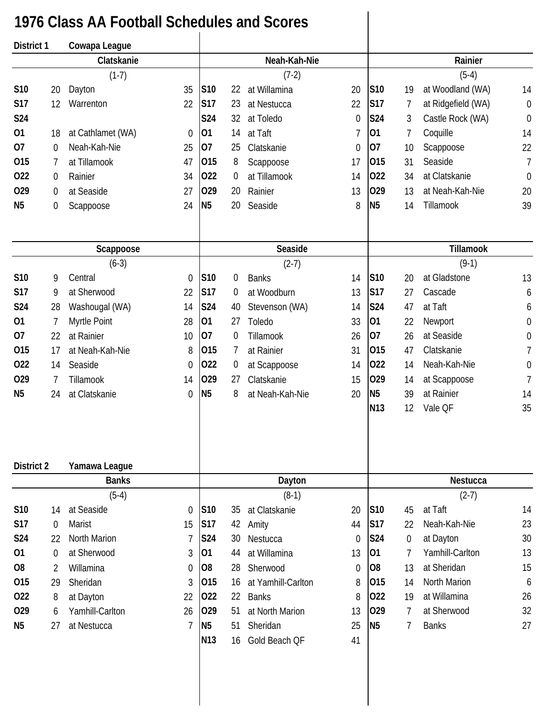## **1976 Class AA Football Schedules and Scores**

| District 1     |             | Cowapa League        |                |                 |    |                    |                |                 |                |                    |                  |
|----------------|-------------|----------------------|----------------|-----------------|----|--------------------|----------------|-----------------|----------------|--------------------|------------------|
|                |             | Clatskanie           |                |                 |    | Neah-Kah-Nie       |                |                 |                | Rainier            |                  |
|                |             | $(1-7)$              |                |                 |    | $(7-2)$            |                |                 |                | $(5-4)$            |                  |
| S10            | 20          | Dayton               | 35             | S10             | 22 | at Willamina       | 20             | S10             | 19             | at Woodland (WA)   | 14               |
| <b>S17</b>     | 12          | Warrenton            | 22             | <b>S17</b>      | 23 | at Nestucca        | 22             | <b>S17</b>      | 7              | at Ridgefield (WA) | $\mathbf 0$      |
| <b>S24</b>     |             |                      |                | <b>S24</b>      | 32 | at Toledo          | $\mathbf 0$    | S24             | 3              | Castle Rock (WA)   | $\mathbf 0$      |
| 01             | 18          | at Cathlamet (WA)    | 0              | 01              | 14 | at Taft            | $\overline{1}$ | 01              | $\overline{7}$ | Coquille           | 14               |
| 07             | 0           | Neah-Kah-Nie         | 25             | 07              | 25 | Clatskanie         | $\theta$       | 07              | 10             | Scappoose          | 22               |
| 015            | 7           | at Tillamook         | 47             | 015             | 8  | Scappoose          | 17             | 015             | 31             | Seaside            | 7                |
| 022            | 0           | Rainier              | 34             | 022             | 0  | at Tillamook       | 14             | 022             | 34             | at Clatskanie      | $\boldsymbol{0}$ |
| 029            | 0           | at Seaside           | 27             | 029             | 20 | Rainier            | 13             | 029             | 13             | at Neah-Kah-Nie    | 20               |
| N <sub>5</sub> | 0           | Scappoose            | 24             | N <sub>5</sub>  | 20 | Seaside            | 8              | N <sub>5</sub>  | 14             | Tillamook          | 39               |
|                |             |                      |                |                 |    | Seaside            |                |                 |                | Tillamook          |                  |
|                |             | Scappoose<br>$(6-3)$ |                |                 |    | $(2-7)$            |                |                 |                | $(9-1)$            |                  |
| S10            | 9           | Central              | $\overline{0}$ | S10             | 0  | <b>Banks</b>       | 14             | S10             | 20             | at Gladstone       | 13               |
| S17            | 9           | at Sherwood          | 22             | <b>S17</b>      | 0  | at Woodburn        | 13             | <b>S17</b>      | 27             | Cascade            | 6                |
| S24            | 28          | Washougal (WA)       | 14             | S24             | 40 | Stevenson (WA)     | 14             | S24             | 47             | at Taft            | 6                |
| 01             | 7           | Myrtle Point         | 28             | 01              | 27 | Toledo             | 33             | 01              | 22             | Newport            | $\boldsymbol{0}$ |
| 07             | 22          | at Rainier           | 10             | 07              | 0  | Tillamook          | 26             | 07              | 26             | at Seaside         | $\boldsymbol{0}$ |
| 015            | 17          | at Neah-Kah-Nie      | 8              | 015             | 7  | at Rainier         | 31             | 015             | 47             | Clatskanie         | $\overline{1}$   |
| 022            | 14          | Seaside              | 0              | 022             | 0  | at Scappoose       | 14             | 022             | 14             | Neah-Kah-Nie       | $\boldsymbol{0}$ |
| 029            | 7           | Tillamook            | 14             | 029             | 27 | Clatskanie         | 15             | 029             | 14             | at Scappoose       | $\overline{1}$   |
| N <sub>5</sub> | 24          | at Clatskanie        | 0              | N <sub>5</sub>  | 8  | at Neah-Kah-Nie    | 20             | N <sub>5</sub>  | 39             | at Rainier         | 14               |
|                |             |                      |                |                 |    |                    |                | N <sub>13</sub> | 12             | Vale QF            | 35               |
|                |             |                      |                |                 |    |                    |                |                 |                |                    |                  |
| District 2     |             | Yamawa League        |                |                 |    |                    |                |                 |                |                    |                  |
|                |             | <b>Banks</b>         |                |                 |    | Dayton             |                |                 |                | Nestucca           |                  |
|                |             | $(5-4)$              |                |                 |    | $(8-1)$            |                |                 |                | $(2-7)$            |                  |
| S10            | 14          | at Seaside           | $\mathbf 0$    | S10             | 35 | at Clatskanie      | 20             | <b>S10</b>      | 45             | at Taft            | 14               |
| <b>S17</b>     | 0           | <b>Marist</b>        | 15             | <b>S17</b>      | 42 | Amity              | 44             | S17             | 22             | Neah-Kah-Nie       | 23               |
| S24            | 22          | <b>North Marion</b>  | 7              | <b>S24</b>      | 30 | Nestucca           | $\theta$       | S24             | $\overline{0}$ | at Dayton          | 30               |
| 01             | $\mathbf 0$ | at Sherwood          | 3              | 01              | 44 | at Willamina       | 13             | 01              | 7              | Yamhill-Carlton    | 13               |
| O <sub>8</sub> | 2           | Willamina            | 0              | O <sub>8</sub>  | 28 | Sherwood           | $\theta$       | O <sub>8</sub>  | 13             | at Sheridan        | 15               |
| 015            | 29          | Sheridan             | 3              | 015             | 16 | at Yamhill-Carlton | 8              | 015             | 14             | North Marion       | 6                |
| 022            | 8           | at Dayton            | 22             | 022             | 22 | <b>Banks</b>       | 8              | 022             | 19             | at Willamina       | 26               |
| 029            | 6           | Yamhill-Carlton      | 26             | 029             | 51 | at North Marion    | 13             | 029             | 7              | at Sherwood        | 32               |
| N <sub>5</sub> | 27          | at Nestucca          | 7              | N <sub>5</sub>  | 51 | Sheridan           | 25             | N <sub>5</sub>  | 7              | <b>Banks</b>       | 27               |
|                |             |                      |                | N <sub>13</sub> | 16 | Gold Beach QF      | 41             |                 |                |                    |                  |
|                |             |                      |                |                 |    |                    |                |                 |                |                    |                  |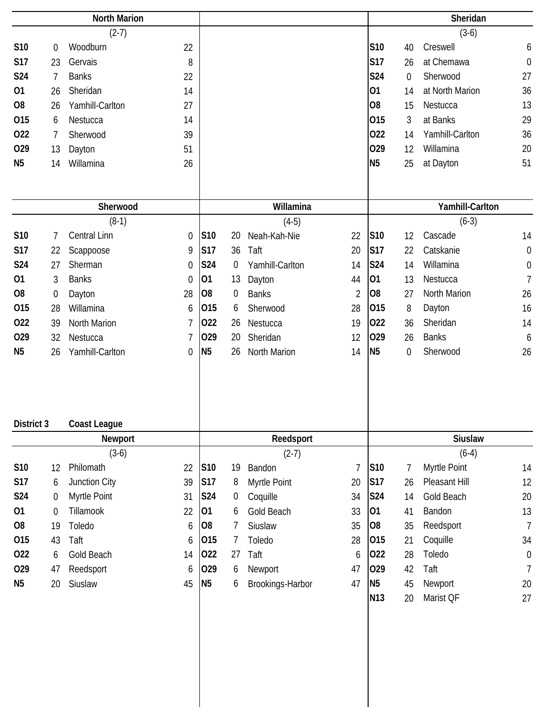|                |                  | <b>North Marion</b> |                  |                |                  |                  |                |                 |              | Sheridan        |                  |
|----------------|------------------|---------------------|------------------|----------------|------------------|------------------|----------------|-----------------|--------------|-----------------|------------------|
|                |                  | $(2-7)$             |                  |                |                  |                  |                |                 |              | $(3-6)$         |                  |
| S10            | $\boldsymbol{0}$ | Woodburn            | 22               |                |                  |                  |                | S10             | 40           | Creswell        | 6                |
| <b>S17</b>     | 23               | Gervais             | 8                |                |                  |                  |                | <b>S17</b>      | 26           | at Chemawa      | $\mathbf 0$      |
| <b>S24</b>     | 7                | <b>Banks</b>        | 22               |                |                  |                  |                | <b>S24</b>      | $\mathbf 0$  | Sherwood        | 27               |
| 01             | 26               | Sheridan            | 14               |                |                  |                  |                | 01              | 14           | at North Marion | 36               |
| O <sub>8</sub> | 26               | Yamhill-Carlton     | 27               |                |                  |                  |                | O <sub>8</sub>  | 15           | Nestucca        | 13               |
| 015            | 6                | Nestucca            | 14               |                |                  |                  |                | 015             | 3            | at Banks        | 29               |
| 022            | 7                | Sherwood            | 39               |                |                  |                  |                | 022             | 14           | Yamhill-Carlton | 36               |
| 029            | 13               | Dayton              | 51               |                |                  |                  |                | 029             | 12           | Willamina       | 20               |
| N <sub>5</sub> | 14               | Willamina           | 26               |                |                  |                  |                | N <sub>5</sub>  | 25           | at Dayton       | 51               |
|                |                  |                     |                  |                |                  |                  |                |                 |              |                 |                  |
|                |                  |                     |                  |                |                  |                  |                |                 |              |                 |                  |
|                |                  | Sherwood            |                  |                |                  | Willamina        |                |                 |              | Yamhill-Carlton |                  |
|                |                  | $(8-1)$             |                  |                |                  | $(4-5)$          |                |                 |              | $(6-3)$         |                  |
| S10            | 7                | Central Linn        | $\mathbf 0$      | S10            | 20               | Neah-Kah-Nie     | 22             | <b>S10</b>      | 12           | Cascade         | 14               |
| <b>S17</b>     | 22               | Scappoose           | 9                | <b>S17</b>     | 36               | Taft             | 20             | <b>S17</b>      | 22           | Catskanie       | $\mathbf 0$      |
| S24            | 27               | Sherman             | $\boldsymbol{0}$ | <b>S24</b>     | 0                | Yamhill-Carlton  | 14             | <b>S24</b>      | 14           | Willamina       | $\boldsymbol{0}$ |
| 01             | 3                | <b>Banks</b>        | $\mathbf 0$      | 01             | 13               | Dayton           | 44             | 01              | 13           | Nestucca        | $\overline{1}$   |
| O <sub>8</sub> | $\boldsymbol{0}$ | Dayton              | 28               | O <sub>8</sub> | 0                | <b>Banks</b>     | $\overline{2}$ | O <sub>8</sub>  | 27           | North Marion    | 26               |
| 015            | 28               | Willamina           | 6                | 015            | 6                | Sherwood         | 28             | 015             | 8            | Dayton          | 16               |
| 022            | 39               | North Marion        | 7                | 022            | 26               | Nestucca         | 19             | 022             | 36           | Sheridan        | 14               |
| 029            | 32               | Nestucca            | 7                | 029            | 20               | Sheridan         | 12             | 029             | 26           | <b>Banks</b>    | 6                |
| N <sub>5</sub> | 26               | Yamhill-Carlton     | $\overline{0}$   | N <sub>5</sub> | 26               | North Marion     | 14             | N <sub>5</sub>  | $\mathbf{0}$ | Sherwood        | 26               |
| District 3     |                  | <b>Coast League</b> |                  |                |                  |                  |                |                 |              |                 |                  |
|                |                  | Newport             |                  |                |                  | Reedsport        |                |                 |              | Siuslaw         |                  |
|                |                  | $(3-6)$             |                  |                |                  | $(2-7)$          |                |                 |              | $(6-4)$         |                  |
| S10            | 12               | Philomath           | 22               | S10            | 19               | Bandon           | $\overline{1}$ | <b>S10</b>      | 7            | Myrtle Point    | 14               |
| <b>S17</b>     | 6                | Junction City       | 39               | <b>S17</b>     | 8                | Myrtle Point     | 20             | <b>S17</b>      | 26           | Pleasant Hill   | 12               |
| S24            | $\boldsymbol{0}$ | Myrtle Point        | 31               | <b>S24</b>     | $\boldsymbol{0}$ | Coquille         | 34             | S24             | 14           | Gold Beach      | 20               |
| 01             | $\boldsymbol{0}$ | Tillamook           | 22               | 01             | 6                | Gold Beach       | 33             | 01              | 41           | Bandon          | 13               |
| O <sub>8</sub> | 19               | Toledo              | 6                | O <sub>8</sub> | 7                | Siuslaw          | 35             | O <sub>8</sub>  | 35           | Reedsport       | $\overline{1}$   |
| 015            | 43               | Taft                | 6                | 015            | 7                | Toledo           | 28             | 015             | 21           | Coquille        | 34               |
| 022            | 6                | Gold Beach          | 14               | 022            | 27               | Taft             | 6              | 022             | 28           | Toledo          | $\boldsymbol{0}$ |
| 029            | 47               | Reedsport           | 6                | 029            | 6                | Newport          | 47             | 029             | 42           | Taft            | $\overline{1}$   |
| N <sub>5</sub> | 20               | Siuslaw             | 45               | <b>N5</b>      | 6                | Brookings-Harbor | 47             | N <sub>5</sub>  | 45           | Newport         | 20               |
|                |                  |                     |                  |                |                  |                  |                | N <sub>13</sub> | 20           | Marist QF       | 27               |
|                |                  |                     |                  |                |                  |                  |                |                 |              |                 |                  |
|                |                  |                     |                  |                |                  |                  |                |                 |              |                 |                  |
|                |                  |                     |                  |                |                  |                  |                |                 |              |                 |                  |
|                |                  |                     |                  |                |                  |                  |                |                 |              |                 |                  |
|                |                  |                     |                  |                |                  |                  |                |                 |              |                 |                  |
|                |                  |                     |                  |                |                  |                  |                |                 |              |                 |                  |
|                |                  |                     |                  |                |                  |                  |                |                 |              |                 |                  |
|                |                  |                     |                  |                |                  |                  |                |                 |              |                 |                  |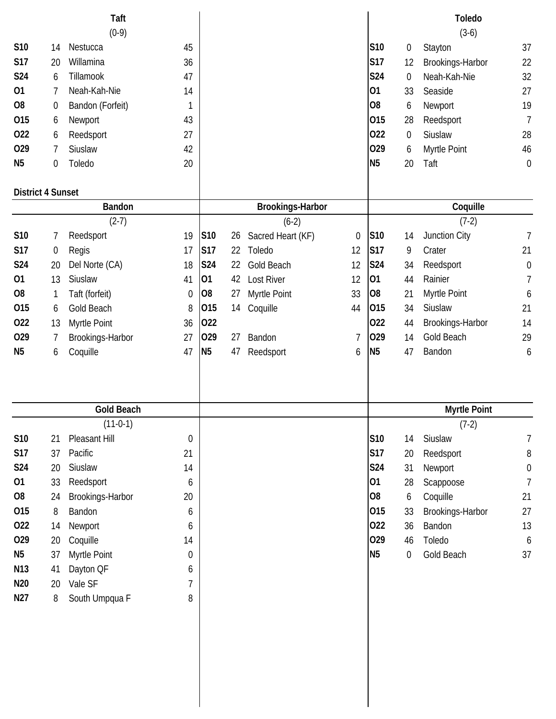|                          |    | Taft              |                  |                |    |                   |                |                |                  | <b>Toledo</b>       |                  |
|--------------------------|----|-------------------|------------------|----------------|----|-------------------|----------------|----------------|------------------|---------------------|------------------|
|                          |    | $(0-9)$           |                  |                |    |                   |                |                |                  | $(3-6)$             |                  |
| S10                      | 14 | Nestucca          | 45               |                |    |                   |                | S10            | $\boldsymbol{0}$ | Stayton             | 37               |
| <b>S17</b>               | 20 | Willamina         | 36               |                |    |                   |                | <b>S17</b>     | 12               | Brookings-Harbor    | 22               |
| S24                      | 6  | Tillamook         | 47               |                |    |                   |                | <b>S24</b>     | 0                | Neah-Kah-Nie        | 32               |
| 01                       | 7  | Neah-Kah-Nie      | 14               |                |    |                   |                | 01             | 33               | Seaside             | 27               |
| O <sub>8</sub>           | 0  | Bandon (Forfeit)  | 1                |                |    |                   |                | O <sub>8</sub> | 6                | Newport             | 19               |
| 015                      | 6  | Newport           | 43               |                |    |                   |                | 015            | 28               | Reedsport           | $\overline{1}$   |
| 022                      | 6  | Reedsport         | 27               |                |    |                   |                | 022            | 0                | Siuslaw             | 28               |
| 029                      | 7  | Siuslaw           | 42               |                |    |                   |                | 029            | 6                | Myrtle Point        | 46               |
| N <sub>5</sub>           | 0  | Toledo            | 20               |                |    |                   |                | N <sub>5</sub> | 20               | Taft                | $\mathbf 0$      |
| <b>District 4 Sunset</b> |    |                   |                  |                |    |                   |                |                |                  |                     |                  |
|                          |    | <b>Bandon</b>     |                  |                |    | Brookings-Harbor  |                |                |                  | Coquille            |                  |
|                          |    | $(2-7)$           |                  |                |    | $(6-2)$           |                |                |                  | $(7-2)$             |                  |
| S10                      | 7  | Reedsport         | 19               | <b>S10</b>     | 26 | Sacred Heart (KF) | $\mathbf 0$    | S10            | 14               | Junction City       | $\overline{1}$   |
| <b>S17</b>               | 0  | Regis             | 17               | <b>S17</b>     | 22 | Toledo            | 12             | S17            | 9                | Crater              | 21               |
| <b>S24</b>               | 20 | Del Norte (CA)    | 18               | <b>S24</b>     | 22 | Gold Beach        | 12             | <b>S24</b>     | 34               | Reedsport           | $\mathbf 0$      |
| 01                       | 13 | Siuslaw           | 41               | 01             | 42 | <b>Lost River</b> | 12             | 01             | 44               | Rainier             | $\overline{7}$   |
| O <sub>8</sub>           | 1  | Taft (forfeit)    | $\boldsymbol{0}$ | 08             | 27 | Myrtle Point      | 33             | O <sub>8</sub> | 21               | Myrtle Point        | 6                |
| 015                      | 6  | <b>Gold Beach</b> | 8                | 015            | 14 | Coquille          | 44             | 015            | 34               | Siuslaw             | 21               |
| 022                      | 13 | Myrtle Point      | 36               | 022            |    |                   |                | 022            | 44               | Brookings-Harbor    | 14               |
| 029                      | 7  | Brookings-Harbor  | 27               | 029            | 27 | Bandon            | $\overline{1}$ | 029            | 14               | Gold Beach          | 29               |
| N <sub>5</sub>           | 6  | Coquille          | 47               | N <sub>5</sub> | 47 | Reedsport         | 6              | N <sub>5</sub> | 47               | Bandon              | 6                |
|                          |    |                   |                  |                |    |                   |                |                |                  |                     |                  |
|                          |    | <b>Gold Beach</b> |                  |                |    |                   |                |                |                  | <b>Myrtle Point</b> |                  |
|                          |    | $(11-0-1)$        |                  |                |    |                   |                |                |                  | $(7-2)$             |                  |
|                          |    |                   |                  |                |    |                   |                |                |                  |                     |                  |
| S10                      | 21 | Pleasant Hill     | 0                |                |    |                   |                | S10            | 14               | Siuslaw             | 7                |
| <b>S17</b>               | 37 | Pacific           | 21               |                |    |                   |                | <b>S17</b>     | 20               | Reedsport           | $\, 8$           |
| <b>S24</b>               | 20 | Siuslaw           | 14               |                |    |                   |                | <b>S24</b>     | 31               | Newport             | $\boldsymbol{0}$ |
| 01                       | 33 | Reedsport         | 6                |                |    |                   |                | 01             | 28               | Scappoose           | $\overline{1}$   |
| O <sub>8</sub>           | 24 | Brookings-Harbor  | 20               |                |    |                   |                | O <sub>8</sub> | 6                | Coquille            | 21               |
| 015                      | 8  | Bandon            | 6                |                |    |                   |                | 015            | 33               | Brookings-Harbor    | 27               |
| 022                      | 14 | Newport           | 6                |                |    |                   |                | 022            | 36               | Bandon              | 13               |
| 029                      | 20 | Coquille          | 14               |                |    |                   |                | 029            | 46               | Toledo              | 6                |
| N <sub>5</sub>           | 37 | Myrtle Point      | $\boldsymbol{0}$ |                |    |                   |                | <b>N5</b>      | $\boldsymbol{0}$ | Gold Beach          | 37               |
| N <sub>13</sub>          | 41 | Dayton QF         | 6                |                |    |                   |                |                |                  |                     |                  |
| N <sub>20</sub>          | 20 | Vale SF           | 7                |                |    |                   |                |                |                  |                     |                  |
| N <sub>27</sub>          | 8  | South Umpqua F    | 8                |                |    |                   |                |                |                  |                     |                  |
|                          |    |                   |                  |                |    |                   |                |                |                  |                     |                  |
|                          |    |                   |                  |                |    |                   |                |                |                  |                     |                  |
|                          |    |                   |                  |                |    |                   |                |                |                  |                     |                  |
|                          |    |                   |                  |                |    |                   |                |                |                  |                     |                  |
|                          |    |                   |                  |                |    |                   |                |                |                  |                     |                  |
|                          |    |                   |                  |                |    |                   |                |                |                  |                     |                  |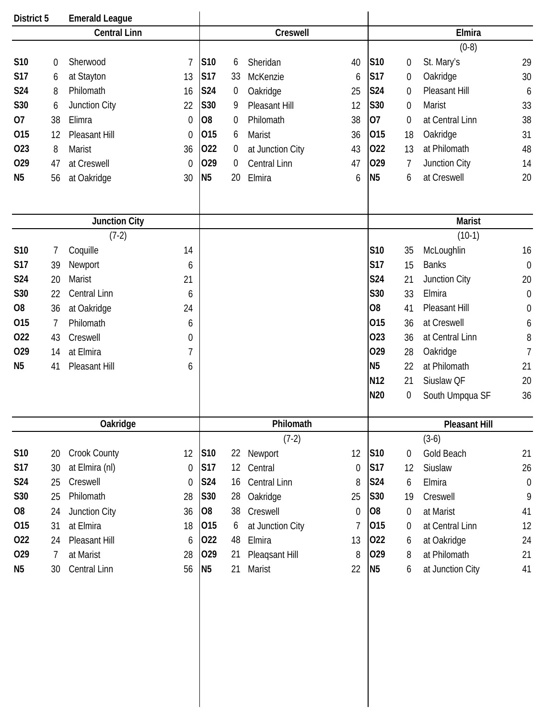| District 5          |                | <b>Emerald League</b> |                  |                |    |                     |                  |                 |                      |                  |                  |  |
|---------------------|----------------|-----------------------|------------------|----------------|----|---------------------|------------------|-----------------|----------------------|------------------|------------------|--|
| <b>Central Linn</b> |                |                       | Creswell         |                |    |                     |                  | Elmira          |                      |                  |                  |  |
|                     |                |                       |                  |                |    |                     |                  |                 |                      | $(0-8)$          |                  |  |
| <b>S10</b>          | 0              | Sherwood              | 7                | S10            | 6  | Sheridan            | 40               | <b>S10</b>      | 0                    | St. Mary's       | 29               |  |
| <b>S17</b>          | 6              | at Stayton            | 13               | <b>S17</b>     | 33 | McKenzie            | 6                | <b>S17</b>      | 0                    | Oakridge         | 30               |  |
| <b>S24</b>          | 8              | Philomath             | 16               | <b>S24</b>     | 0  | Oakridge            | 25               | S24             | 0                    | Pleasant Hill    | 6                |  |
| S30                 | 6              | Junction City         | 22               | S30            | 9  | Pleasant Hill       | 12               | S30             | 0                    | <b>Marist</b>    | 33               |  |
| 07                  | 38             | Elimra                | $\boldsymbol{0}$ | O <sub>8</sub> | 0  | Philomath           | 38               | 07              | 0                    | at Central Linn  | 38               |  |
| 015                 | 12             | Pleasant Hill         | $\boldsymbol{0}$ | 015            | 6  | Marist              | 36               | 015             | 18                   | Oakridge         | 31               |  |
| 023                 | 8              | Marist                | 36               | 022            | 0  | at Junction City    | 43               | 022             | 13                   | at Philomath     | 48               |  |
| O <sub>29</sub>     | 47             | at Creswell           | $\boldsymbol{0}$ | 029            | 0  | Central Linn        | 47               | 029             | 7                    | Junction City    | 14               |  |
| N <sub>5</sub>      | 56             | at Oakridge           | 30               | N <sub>5</sub> | 20 | Elmira              | 6                | N <sub>5</sub>  | 6                    | at Creswell      | 20               |  |
|                     |                |                       |                  |                |    |                     |                  |                 |                      |                  |                  |  |
|                     |                | <b>Junction City</b>  |                  |                |    |                     |                  |                 |                      | <b>Marist</b>    |                  |  |
|                     |                | $(7-2)$               |                  |                |    |                     |                  |                 |                      | $(10-1)$         |                  |  |
| S10                 | 7              | Coquille              | 14               |                |    |                     |                  | S10             | 35                   | McLoughlin       | 16               |  |
| <b>S17</b>          | 39             | Newport               | 6                |                |    |                     |                  | <b>S17</b>      | 15                   | <b>Banks</b>     | $\mathbf 0$      |  |
| S24                 | 20             | Marist                | 21               |                |    |                     |                  | <b>S24</b>      | 21                   | Junction City    | 20               |  |
| S30                 | 22             | Central Linn          | 6                |                |    |                     |                  | S30             | 33                   | Elmira           | $\mathbf 0$      |  |
| O <sub>8</sub>      | 36             | at Oakridge           | 24               |                |    |                     |                  | O <sub>8</sub>  | 41                   | Pleasant Hill    | $\boldsymbol{0}$ |  |
| 015                 | $\overline{7}$ | Philomath             | 6                |                |    |                     |                  | 015             | 36                   | at Creswell      | 6                |  |
| 022                 | 43             | Creswell              | 0                |                |    |                     |                  | 023             | 36                   | at Central Linn  | 8                |  |
| 029                 |                |                       |                  |                |    |                     |                  | 029             |                      |                  |                  |  |
|                     | 14             | at Elmira             | 7                |                |    |                     |                  | N <sub>5</sub>  | 28                   | Oakridge         | $\overline{1}$   |  |
| N <sub>5</sub>      | 41             | Pleasant Hill         | 6                |                |    |                     |                  | N <sub>12</sub> | 22                   | at Philomath     | 21               |  |
|                     |                |                       |                  |                |    |                     |                  |                 | 21                   | Siuslaw QF       | 20               |  |
|                     |                |                       |                  |                |    |                     |                  | N20             | 0                    | South Umpqua SF  | 36               |  |
|                     |                | Oakridge              |                  | Philomath      |    |                     |                  |                 | <b>Pleasant Hill</b> |                  |                  |  |
|                     |                |                       |                  |                |    | $(7-2)$             |                  |                 |                      | $(3-6)$          |                  |  |
| S10                 | 20             | <b>Crook County</b>   | 12               | S10            | 22 | Newport             | 12               | S10             | $\boldsymbol{0}$     | Gold Beach       | 21               |  |
| <b>S17</b>          | 30             | at Elmira (nl)        | $\boldsymbol{0}$ | <b>S17</b>     | 12 | Central             | $\boldsymbol{0}$ | <b>S17</b>      | 12                   | Siuslaw          | 26               |  |
| S24                 | 25             | Creswell              | 0                | <b>S24</b>     | 16 | <b>Central Linn</b> | 8                | <b>S24</b>      | 6                    | Elmira           | $\boldsymbol{0}$ |  |
| S30                 | 25             | Philomath             | 28               | <b>S30</b>     | 28 | Oakridge            | 25               | S30             | 19                   | Creswell         | 9                |  |
| O <sub>8</sub>      | 24             | Junction City         | 36               | 08             | 38 | Creswell            | $\mathbf 0$      | 08              | $\boldsymbol{0}$     | at Marist        | 41               |  |
| 015                 | 31             | at Elmira             | 18               | 015            | 6  | at Junction City    | $\overline{7}$   | 015             | $\overline{0}$       | at Central Linn  | 12               |  |
| 022                 | 24             | Pleasant Hill         | 6                | 022            | 48 | Elmira              | 13               | 022             | 6                    | at Oakridge      | 24               |  |
| 029                 | 7              | at Marist             | 28               | 029            | 21 | Pleagsant Hill      | 8                | 029             | 8                    | at Philomath     | 21               |  |
| N <sub>5</sub>      | 30             | Central Linn          | 56               | N <sub>5</sub> | 21 | Marist              | 22               | N <sub>5</sub>  | 6                    | at Junction City | 41               |  |
|                     |                |                       |                  |                |    |                     |                  |                 |                      |                  |                  |  |
|                     |                |                       |                  |                |    |                     |                  |                 |                      |                  |                  |  |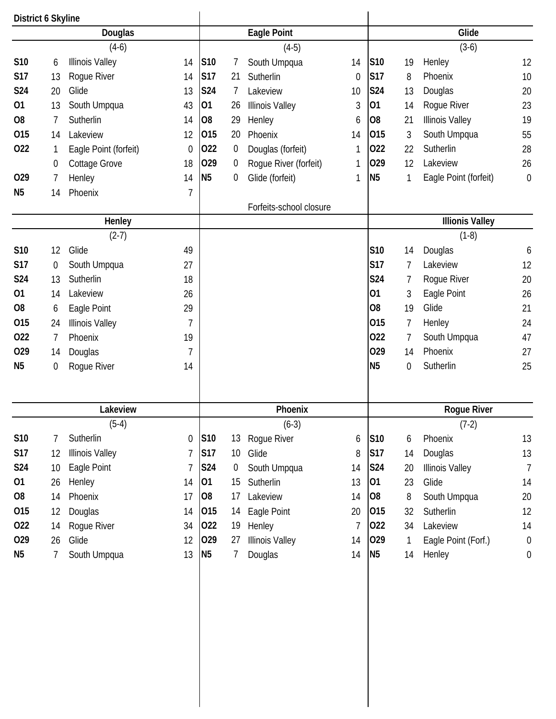| District 6 Skyline |                |                        |                  |                |                |                         |                |                |    |                        |                  |
|--------------------|----------------|------------------------|------------------|----------------|----------------|-------------------------|----------------|----------------|----|------------------------|------------------|
|                    |                | Douglas                |                  |                |                | <b>Eagle Point</b>      |                |                |    | Glide                  |                  |
|                    |                | $(4-6)$                |                  |                |                | $(4-5)$                 |                |                |    | $(3-6)$                |                  |
| S10                | 6              | <b>Illinois Valley</b> | 14               | S10            | 7              | South Umpqua            | 14             | S10            | 19 | Henley                 | 12               |
| <b>S17</b>         | 13             | Rogue River            | 14               | <b>S17</b>     | 21             | Sutherlin               | $\overline{0}$ | <b>S17</b>     | 8  | Phoenix                | 10               |
| S24                | 20             | Glide                  | 13               | <b>S24</b>     | 7              | Lakeview                | 10             | <b>S24</b>     | 13 | Douglas                | 20               |
| 01                 | 13             | South Umpqua           | 43               | 01             | 26             | <b>Illinois Valley</b>  | 3              | 01             | 14 | Rogue River            | 23               |
| O <sub>8</sub>     | $\overline{1}$ | Sutherlin              | 14               | O <sub>8</sub> | 29             | Henley                  | 6              | O <sub>8</sub> | 21 | <b>Illinois Valley</b> | 19               |
| 015                | 14             | Lakeview               | 12               | 015            | 20             | Phoenix                 | 14             | 015            | 3  | South Umpqua           | 55               |
| 022                | 1              | Eagle Point (forfeit)  | $\mathbf 0$      | 022            | $\overline{0}$ | Douglas (forfeit)       | 1              | 022            | 22 | Sutherlin              | 28               |
|                    | 0              | <b>Cottage Grove</b>   | 18               | 029            | 0              | Rogue River (forfeit)   | 1              | 029            | 12 | Lakeview               | 26               |
| 029                | 7              | Henley                 | 14               | <b>N5</b>      | 0              | Glide (forfeit)         | 1              | N <sub>5</sub> | 1  | Eagle Point (forfeit)  | $\mathbf 0$      |
| N <sub>5</sub>     | 14             | Phoenix                | 7                |                |                |                         |                |                |    |                        |                  |
|                    |                |                        |                  |                |                | Forfeits-school closure |                |                |    |                        |                  |
|                    |                | Henley                 |                  |                |                |                         |                |                |    | <b>Illionis Valley</b> |                  |
|                    |                | $(2-7)$                |                  |                |                |                         |                |                |    | $(1-8)$                |                  |
| S10                | 12             | Glide                  | 49               |                |                |                         |                | <b>S10</b>     | 14 | Douglas                | 6                |
| <b>S17</b>         | 0              | South Umpqua           | 27               |                |                |                         |                | <b>S17</b>     | 7  | Lakeview               | 12               |
| S24                | 13             | Sutherlin              | 18               |                |                |                         |                | <b>S24</b>     | 7  | Rogue River            | 20               |
| 01                 | 14             | Lakeview               | 26               |                |                |                         |                | 01             | 3  | Eagle Point            | 26               |
| O <sub>8</sub>     | 6              | Eagle Point            | 29               |                |                |                         |                | O <sub>8</sub> | 19 | Glide                  | 21               |
| 015                | 24             | <b>Illinois Valley</b> | $\overline{7}$   |                |                |                         |                | 015            | 7  | Henley                 | 24               |
| 022                | $\overline{7}$ | Phoenix                | 19               |                |                |                         |                | 022            | 7  | South Umpqua           | 47               |
| 029                | 14             | Douglas                | 7                |                |                |                         |                | 029            | 14 | Phoenix                | 27               |
| N <sub>5</sub>     | 0              | Rogue River            | 14               |                |                |                         |                | N <sub>5</sub> | 0  | Sutherlin              | 25               |
|                    |                | Lakeview               |                  |                |                | Phoenix                 |                |                |    | Rogue River            |                  |
|                    |                | $(5-4)$                |                  |                |                | $(6-3)$                 |                |                |    | $(7-2)$                |                  |
| S10                | 7              | Sutherlin              | $\boldsymbol{0}$ | S10            | 13             | Rogue River             | 6              | S10            | 6  | Phoenix                | 13               |
| <b>S17</b>         | 12             | <b>Illinois Valley</b> | 7                | <b>S17</b>     | 10             | Glide                   | 8              | S17            | 14 | Douglas                | 13               |
| S24                | 10             | Eagle Point            | 7                | <b>S24</b>     | $\pmb{0}$      | South Umpqua            | 14             | S24            | 20 | <b>Illinois Valley</b> | $\overline{7}$   |
| 01                 | 26             | Henley                 | 14               | 01             | 15             | Sutherlin               | 13             | 01             | 23 | Glide                  | 14               |
| O <sub>8</sub>     | 14             | Phoenix                | 17               | O <sub>8</sub> | 17             | Lakeview                | 14             | O <sub>8</sub> | 8  | South Umpqua           | 20               |
| 015                | 12             | Douglas                | 14               | 015            | 14             | Eagle Point             | 20             | 015            | 32 | Sutherlin              | 12               |
| 022                | 14             | Rogue River            | 34               | 022            | 19             | Henley                  | 7              | 022            | 34 | Lakeview               | 14               |
| 029                | 26             | Glide                  | 12               | 029            | 27             | <b>Illinois Valley</b>  | 14             | 029            | 1  | Eagle Point (Forf.)    | $\boldsymbol{0}$ |
|                    |                |                        |                  |                |                |                         |                |                |    |                        | $\boldsymbol{0}$ |
| N <sub>5</sub>     | 7              | South Umpqua           | 13               | <b>N5</b>      | 7              | Douglas                 | 14             | <b>N5</b>      | 14 | Henley                 |                  |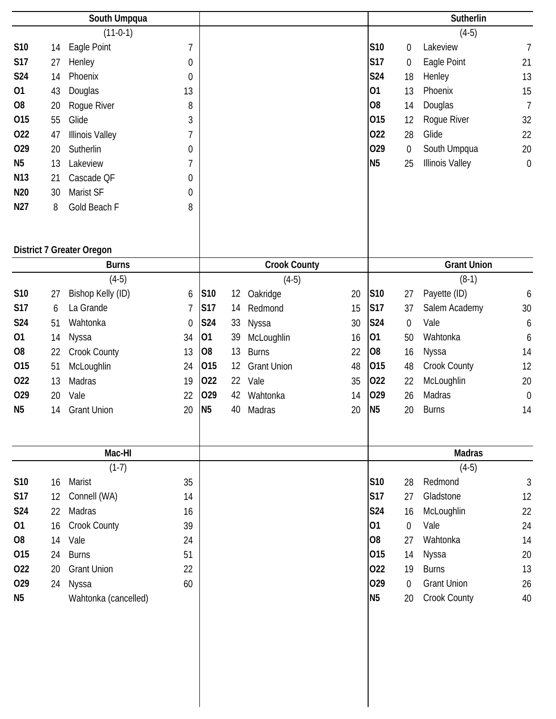|                 |    | South Umpqua                     |                  |                |         |                     |    |                 |                  | Sutherlin              |                  |
|-----------------|----|----------------------------------|------------------|----------------|---------|---------------------|----|-----------------|------------------|------------------------|------------------|
|                 |    | $(11-0-1)$                       |                  |                |         |                     |    |                 |                  | $(4-5)$                |                  |
| S10             | 14 | Eagle Point                      | $\overline{1}$   |                |         |                     |    | S <sub>10</sub> | $\boldsymbol{0}$ | Lakeview               | $\overline{7}$   |
| <b>S17</b>      | 27 | Henley                           | $\boldsymbol{0}$ |                |         |                     |    | <b>S17</b>      | $\pmb{0}$        | Eagle Point            | 21               |
| <b>S24</b>      | 14 | Phoenix                          | $\mathbf 0$      |                |         |                     |    | <b>S24</b>      | 18               | Henley                 | 13               |
| 01              | 43 | Douglas                          | 13               |                |         |                     |    | 01              | 13               | Phoenix                | 15               |
| O <sub>8</sub>  | 20 | Rogue River                      | 8                |                |         |                     |    | O <sub>8</sub>  | 14               | Douglas                | $\overline{7}$   |
| 015             | 55 | Glide                            | 3                |                |         |                     |    | 015             | 12               | Rogue River            | 32               |
| 022             | 47 | <b>Illinois Valley</b>           | 7                |                |         |                     |    | 022             | 28               | Glide                  | 22               |
| 029             | 20 | Sutherlin                        | 0                |                |         |                     |    | 029             | $\boldsymbol{0}$ | South Umpqua           | 20               |
| N <sub>5</sub>  | 13 | Lakeview                         | 7                |                |         |                     |    | <b>N5</b>       | 25               | <b>Illinois Valley</b> | $\boldsymbol{0}$ |
| N13             | 21 | Cascade QF                       | 0                |                |         |                     |    |                 |                  |                        |                  |
| N <sub>20</sub> | 30 | Marist SF                        | 0                |                |         |                     |    |                 |                  |                        |                  |
| N27             | 8  | Gold Beach F                     | 8                |                |         |                     |    |                 |                  |                        |                  |
|                 |    |                                  |                  |                |         |                     |    |                 |                  |                        |                  |
|                 |    | <b>District 7 Greater Oregon</b> |                  |                |         |                     |    |                 |                  |                        |                  |
|                 |    | <b>Burns</b>                     |                  |                |         | <b>Crook County</b> |    |                 |                  | <b>Grant Union</b>     |                  |
|                 |    | $(4-5)$                          |                  |                |         | $(4-5)$             |    |                 |                  | $(8-1)$                |                  |
| S10             | 27 | Bishop Kelly (ID)                | 6                | <b>S10</b>     | $12 \,$ | Oakridge            | 20 | S10             | 27               | Payette (ID)           | 6                |
| <b>S17</b>      | 6  | La Grande                        | $\overline{7}$   | <b>S17</b>     | 14      | Redmond             | 15 | <b>S17</b>      | 37               | Salem Academy          | 30               |
| <b>S24</b>      | 51 | Wahtonka                         | $\mathbf 0$      | <b>S24</b>     | 33      | Nyssa               | 30 | <b>S24</b>      | $\boldsymbol{0}$ | Vale                   | 6                |
| 01              | 14 | Nyssa                            | 34               | 01             | 39      | McLoughlin          | 16 | 01              | 50               | Wahtonka               | 6                |
| O <sub>8</sub>  | 22 | <b>Crook County</b>              | 13               | O <sub>8</sub> | 13      | <b>Burns</b>        | 22 | O8              | 16               | Nyssa                  | 14               |
| 015             | 51 | McLoughlin                       | 24               | 015            | 12      | <b>Grant Union</b>  | 48 | 015             | 48               | Crook County           | 12               |
| 022             | 13 | Madras                           | 19               | 022            | 22      | Vale                | 35 | 022             | 22               | McLoughlin             | 20               |
| 029             | 20 | Vale                             | 22               | 029            | 42      | Wahtonka            | 14 | 029             | 26               | Madras                 | $\mathbf 0$      |
| N <sub>5</sub>  | 14 | <b>Grant Union</b>               | 20               | N <sub>5</sub> | 40      | Madras              | 20 | N <sub>5</sub>  | 20               | <b>Burns</b>           | 14               |
|                 |    |                                  |                  |                |         |                     |    |                 |                  |                        |                  |
|                 |    | Mac-HI                           |                  |                |         |                     |    |                 |                  | <b>Madras</b>          |                  |
|                 |    | $(1-7)$                          |                  |                |         |                     |    |                 |                  | $(4-5)$                |                  |
| S10             | 16 | Marist                           | 35               |                |         |                     |    | <b>S10</b>      | 28               | Redmond                | $\sqrt{3}$       |
| <b>S17</b>      | 12 | Connell (WA)                     | 14               |                |         |                     |    | <b>S17</b>      | 27               | Gladstone              | 12               |
| <b>S24</b>      | 22 | Madras                           | 16               |                |         |                     |    | <b>S24</b>      | 16               | McLoughlin             | 22               |
| 01              | 16 | Crook County                     | 39               |                |         |                     |    | 01              | $\mathbf 0$      | Vale                   | 24               |
| O <sub>8</sub>  | 14 | Vale                             | 24               |                |         |                     |    | O <sub>8</sub>  | 27               | Wahtonka               | 14               |
| 015             | 24 | <b>Burns</b>                     | 51               |                |         |                     |    | 015             | 14               | Nyssa                  | 20               |
| 022             | 20 | <b>Grant Union</b>               | 22               |                |         |                     |    | 022             | 19               | <b>Burns</b>           | 13               |
| 029             | 24 | Nyssa                            | 60               |                |         |                     |    | 029             | $\overline{0}$   | <b>Grant Union</b>     | 26               |
| N <sub>5</sub>  |    | Wahtonka (cancelled)             |                  |                |         |                     |    | <b>N5</b>       | 20               | Crook County           | 40               |
|                 |    |                                  |                  |                |         |                     |    |                 |                  |                        |                  |
|                 |    |                                  |                  |                |         |                     |    |                 |                  |                        |                  |
|                 |    |                                  |                  |                |         |                     |    |                 |                  |                        |                  |
|                 |    |                                  |                  |                |         |                     |    |                 |                  |                        |                  |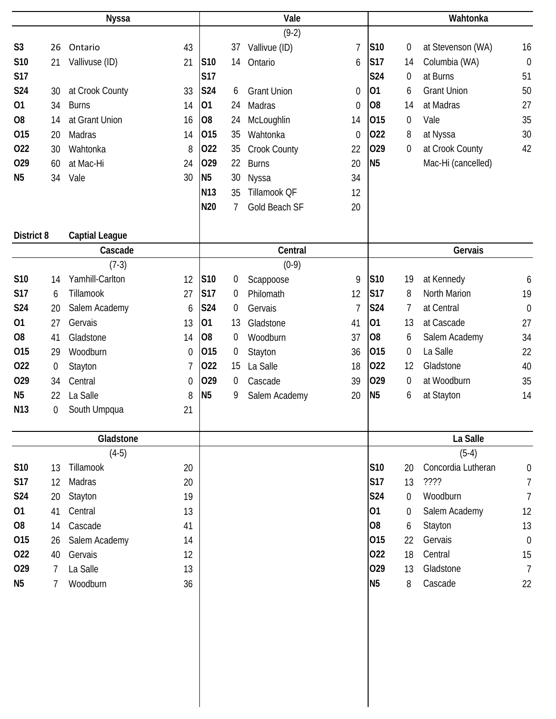| <b>Nyssa</b>    |    |                       |                  | Vale            |                |                    |                | Wahtonka        |                  |                    |                  |  |
|-----------------|----|-----------------------|------------------|-----------------|----------------|--------------------|----------------|-----------------|------------------|--------------------|------------------|--|
|                 |    |                       |                  |                 |                | $(9-2)$            |                |                 |                  |                    |                  |  |
| S <sub>3</sub>  | 26 | Ontario               | 43               |                 | 37             | Vallivue (ID)      | $\overline{1}$ | S10             | 0                | at Stevenson (WA)  | 16               |  |
| S10             | 21 | Vallivuse (ID)        | 21               | S10             | 14             | Ontario            | 6              | <b>S17</b>      | 14               | Columbia (WA)      | $\mathbf 0$      |  |
| <b>S17</b>      |    |                       |                  | <b>S17</b>      |                |                    |                | <b>S24</b>      | 0                | at Burns           | 51               |  |
| <b>S24</b>      | 30 | at Crook County       | 33               | <b>S24</b>      | 6              | <b>Grant Union</b> | $\mathbf 0$    | 01              | 6                | <b>Grant Union</b> | 50               |  |
| 01              | 34 | <b>Burns</b>          | 14               | 01              | 24             | Madras             | $\overline{0}$ | O <sub>8</sub>  | 14               | at Madras          | 27               |  |
| O <sub>8</sub>  | 14 | at Grant Union        | 16               | O <sub>8</sub>  | 24             | McLoughlin         | 14             | 015             | $\boldsymbol{0}$ | Vale               | 35               |  |
| 015             | 20 | Madras                | 14               | 015             | 35             | Wahtonka           | $\mathbf 0$    | 022             | 8                | at Nyssa           | 30               |  |
| 022             | 30 | Wahtonka              | 8                | 022             | 35             | Crook County       | 22             | 029             | 0                | at Crook County    | 42               |  |
| 029             | 60 | at Mac-Hi             | 24               | 029             | 22             | <b>Burns</b>       | 20             | N <sub>5</sub>  |                  | Mac-Hi (cancelled) |                  |  |
| N <sub>5</sub>  | 34 | Vale                  | 30               | N <sub>5</sub>  | 30             | Nyssa              | 34             |                 |                  |                    |                  |  |
|                 |    |                       |                  | N <sub>13</sub> | 35             | Tillamook QF       | 12             |                 |                  |                    |                  |  |
|                 |    |                       |                  | N20             | $\overline{7}$ | Gold Beach SF      | 20             |                 |                  |                    |                  |  |
| District 8      |    | <b>Captial League</b> |                  |                 |                |                    |                |                 |                  |                    |                  |  |
|                 |    | Cascade               |                  |                 |                | Central            |                |                 |                  | Gervais            |                  |  |
|                 |    | $(7-3)$               |                  |                 |                | $(0-9)$            |                |                 |                  |                    |                  |  |
| S10             | 14 | Yamhill-Carlton       | 12               | S10             | 0              | Scappoose          | 9              | S10             | 19               | at Kennedy         | 6                |  |
| <b>S17</b>      | 6  | Tillamook             | 27               | <b>S17</b>      | 0              | Philomath          | 12             | <b>S17</b>      | 8                | North Marion       | 19               |  |
| S24             | 20 | Salem Academy         | 6                | <b>S24</b>      | 0              | Gervais            | $\overline{7}$ | S24             | 7                | at Central         | $\mathbf 0$      |  |
| 01              | 27 | Gervais               | 13               | 01              | 13             | Gladstone          | 41             | 01              | 13               | at Cascade         | 27               |  |
| O <sub>8</sub>  | 41 | Gladstone             | 14               | O <sub>8</sub>  | 0              | Woodburn           | 37             | O <sub>8</sub>  | 6                | Salem Academy      | 34               |  |
| 015             | 29 | Woodburn              | 0                | 015             | 0              | Stayton            | 36             | 015             | 0                | La Salle           | 22               |  |
| 022             | 0  | Stayton               | 7                | 022             | 15             | La Salle           | 18             | 022             | 12               | Gladstone          | 40               |  |
| 029             | 34 | Central               | $\boldsymbol{0}$ | 029             | 0              | Cascade            | 39             | 029             | 0                | at Woodburn        | 35               |  |
| N <sub>5</sub>  | 22 | La Salle              | 8                | N <sub>5</sub>  | 9              | Salem Academy      | 20             | N <sub>5</sub>  | 6                | at Stayton         | 14               |  |
| N <sub>13</sub> | 0  | South Umpqua          | 21               |                 |                |                    |                |                 |                  |                    |                  |  |
|                 |    | Gladstone             |                  |                 |                |                    |                |                 |                  | La Salle           |                  |  |
|                 |    | $(4-5)$               |                  |                 |                |                    |                |                 |                  | $(5-4)$            |                  |  |
| S10             | 13 | Tillamook             | 20               |                 |                |                    |                | S <sub>10</sub> | 20               | Concordia Lutheran | $\boldsymbol{0}$ |  |
| <b>S17</b>      | 12 | Madras                | 20               |                 |                |                    |                | <b>S17</b>      | 13               | ????               | $\overline{7}$   |  |
| <b>S24</b>      | 20 | Stayton               | 19               |                 |                |                    |                | S24             | $\mathbf 0$      | Woodburn           | $\overline{7}$   |  |
| 01              | 41 | Central               | 13               |                 |                |                    |                | 01              | $\overline{0}$   | Salem Academy      | 12               |  |
| O <sub>8</sub>  | 14 | Cascade               | 41               |                 |                |                    |                | O <sub>8</sub>  | 6                | Stayton            | 13               |  |
| 015             | 26 | Salem Academy         | 14               |                 |                |                    |                | 015             | 22               | Gervais            | $\mathbf 0$      |  |
| 022             | 40 | Gervais               | 12               |                 |                |                    |                | 022             | 18               | Central            | 15               |  |
| 029             | 7  | La Salle              | 13               |                 |                |                    |                | 029             | 13               | Gladstone          | $\overline{7}$   |  |
| N <sub>5</sub>  | 7  | Woodburn              | 36               |                 |                |                    |                | N <sub>5</sub>  | 8                | Cascade            | 22               |  |
|                 |    |                       |                  |                 |                |                    |                |                 |                  |                    |                  |  |
|                 |    |                       |                  |                 |                |                    |                |                 |                  |                    |                  |  |
|                 |    |                       |                  |                 |                |                    |                |                 |                  |                    |                  |  |